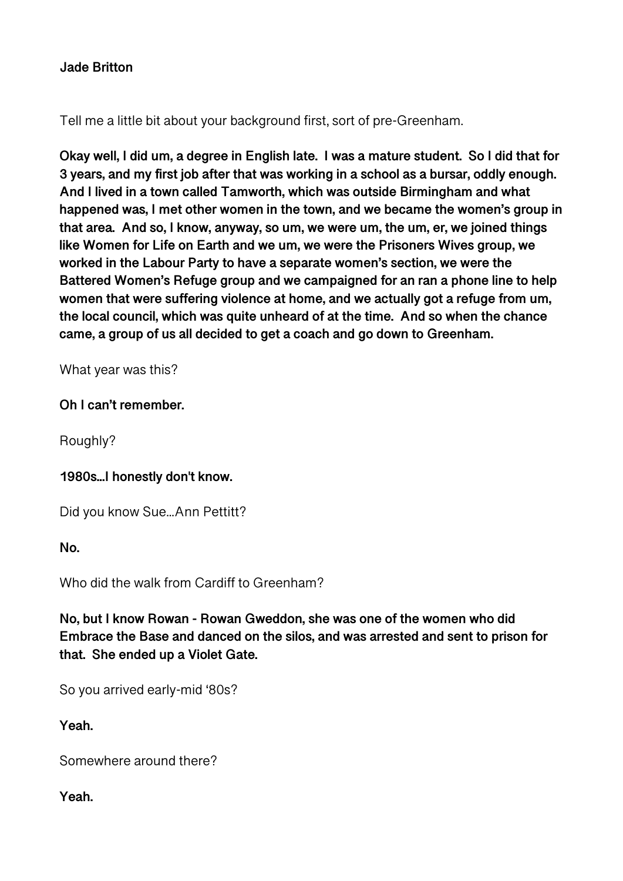# **Jade Britton**

Tell me a little bit about your background first, sort of pre-Greenham.

**Okay well, I did um, a degree in English late. I was a mature student. So I did that for 3 years, and my first job after that was working in a school as a bursar, oddly enough. And I lived in a town called Tamworth, which was outside Birmingham and what happened was, I met other women in the town, and we became the women's group in that area. And so, I know, anyway, so um, we were um, the um, er, we joined things like Women for Life on Earth and we um, we were the Prisoners Wives group, we worked in the Labour Party to have a separate women's section, we were the Battered Women's Refuge group and we campaigned for an ran a phone line to help women that were suffering violence at home, and we actually got a refuge from um, the local council, which was quite unheard of at the time. And so when the chance came, a group of us all decided to get a coach and go down to Greenham.** 

What year was this?

## **Oh I can't remember.**

Roughly?

## **1980s...I honestly don't know.**

Did you know Sue...Ann Pettitt?

**No.** 

Who did the walk from Cardiff to Greenham?

**No, but I know Rowan - Rowan Gweddon, she was one of the women who did Embrace the Base and danced on the silos, and was arrested and sent to prison for that. She ended up a Violet Gate.** 

So you arrived early-mid '80s?

**Yeah.** 

Somewhere around there?

**Yeah.**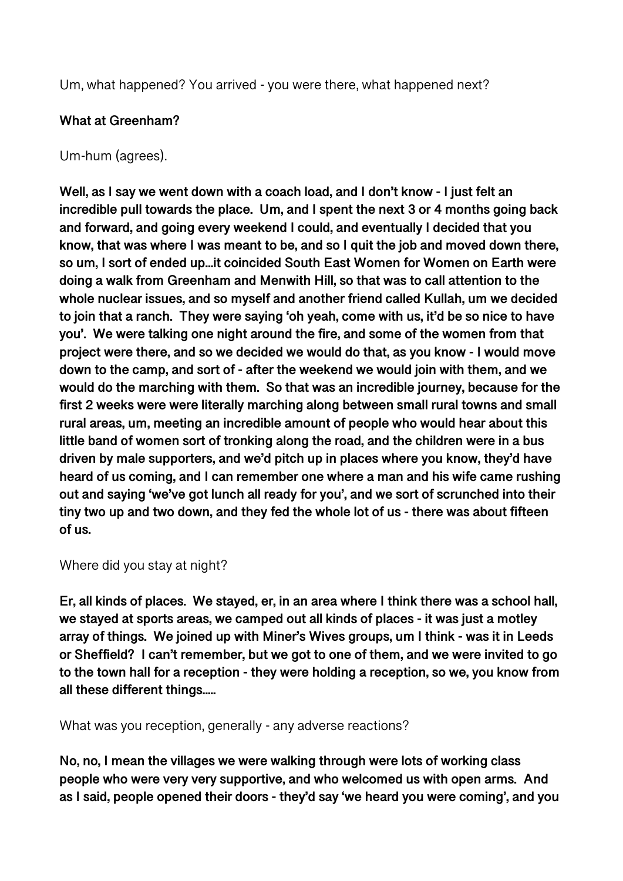Um, what happened? You arrived - you were there, what happened next?

# **What at Greenham?**

## Um-hum (agrees).

**Well, as I say we went down with a coach load, and I don't know - I just felt an incredible pull towards the place. Um, and I spent the next 3 or 4 months going back and forward, and going every weekend I could, and eventually I decided that you know, that was where I was meant to be, and so I quit the job and moved down there, so um, I sort of ended up...it coincided South East Women for Women on Earth were doing a walk from Greenham and Menwith Hill, so that was to call attention to the whole nuclear issues, and so myself and another friend called Kullah, um we decided to join that a ranch. They were saying 'oh yeah, come with us, it'd be so nice to have you'. We were talking one night around the fire, and some of the women from that project were there, and so we decided we would do that, as you know - I would move down to the camp, and sort of - after the weekend we would join with them, and we would do the marching with them. So that was an incredible journey, because for the first 2 weeks were were literally marching along between small rural towns and small rural areas, um, meeting an incredible amount of people who would hear about this little band of women sort of tronking along the road, and the children were in a bus driven by male supporters, and we'd pitch up in places where you know, they'd have heard of us coming, and I can remember one where a man and his wife came rushing out and saying 'we've got lunch all ready for you', and we sort of scrunched into their tiny two up and two down, and they fed the whole lot of us - there was about fifteen of us.** 

## Where did you stay at night?

**Er, all kinds of places. We stayed, er, in an area where I think there was a school hall, we stayed at sports areas, we camped out all kinds of places - it was just a motley array of things. We joined up with Miner's Wives groups, um I think - was it in Leeds or Sheffield? I can't remember, but we got to one of them, and we were invited to go to the town hall for a reception - they were holding a reception, so we, you know from all these different things.....** 

What was you reception, generally - any adverse reactions?

**No, no, I mean the villages we were walking through were lots of working class people who were very very supportive, and who welcomed us with open arms. And as I said, people opened their doors - they'd say 'we heard you were coming', and you**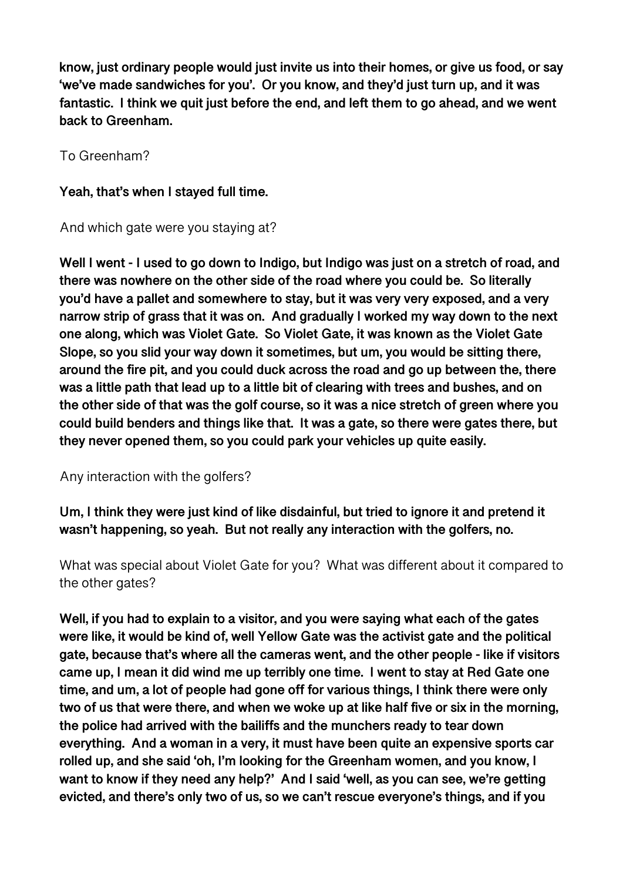**know, just ordinary people would just invite us into their homes, or give us food, or say 'we've made sandwiches for you'. Or you know, and they'd just turn up, and it was fantastic. I think we quit just before the end, and left them to go ahead, and we went back to Greenham.** 

To Greenham?

**Yeah, that's when I stayed full time.** 

And which gate were you staying at?

**Well I went - I used to go down to Indigo, but Indigo was just on a stretch of road, and there was nowhere on the other side of the road where you could be. So literally you'd have a pallet and somewhere to stay, but it was very very exposed, and a very narrow strip of grass that it was on. And gradually I worked my way down to the next one along, which was Violet Gate. So Violet Gate, it was known as the Violet Gate Slope, so you slid your way down it sometimes, but um, you would be sitting there, around the fire pit, and you could duck across the road and go up between the, there was a little path that lead up to a little bit of clearing with trees and bushes, and on the other side of that was the golf course, so it was a nice stretch of green where you could build benders and things like that. It was a gate, so there were gates there, but they never opened them, so you could park your vehicles up quite easily.** 

Any interaction with the golfers?

**Um, I think they were just kind of like disdainful, but tried to ignore it and pretend it wasn't happening, so yeah. But not really any interaction with the golfers, no.** 

What was special about Violet Gate for you? What was different about it compared to the other gates?

**Well, if you had to explain to a visitor, and you were saying what each of the gates were like, it would be kind of, well Yellow Gate was the activist gate and the political gate, because that's where all the cameras went, and the other people - like if visitors came up, I mean it did wind me up terribly one time. I went to stay at Red Gate one time, and um, a lot of people had gone off for various things, I think there were only two of us that were there, and when we woke up at like half five or six in the morning, the police had arrived with the bailiffs and the munchers ready to tear down everything. And a woman in a very, it must have been quite an expensive sports car rolled up, and she said 'oh, I'm looking for the Greenham women, and you know, I want to know if they need any help?' And I said 'well, as you can see, we're getting evicted, and there's only two of us, so we can't rescue everyone's things, and if you**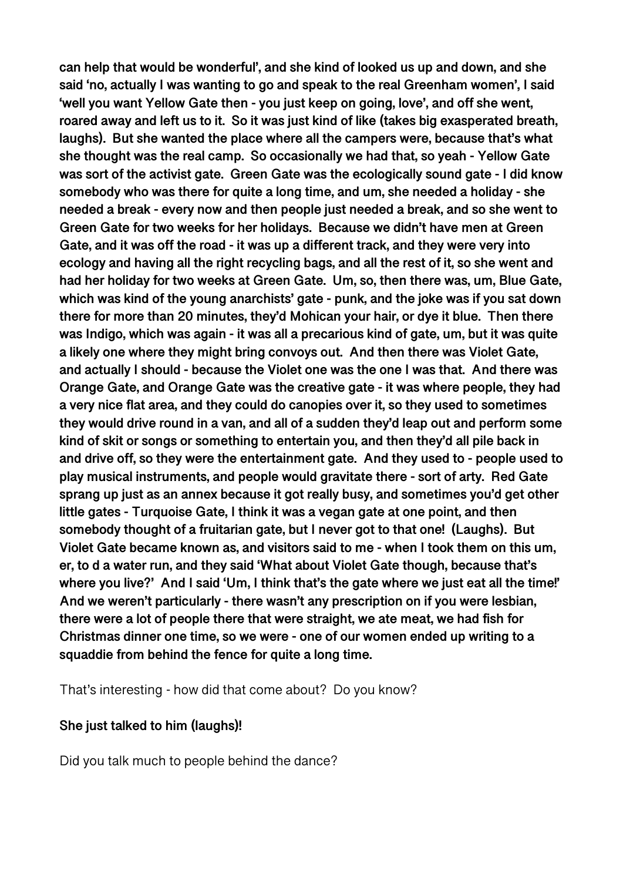**can help that would be wonderful', and she kind of looked us up and down, and she said 'no, actually I was wanting to go and speak to the real Greenham women', I said 'well you want Yellow Gate then - you just keep on going, love', and off she went, roared away and left us to it. So it was just kind of like (takes big exasperated breath, laughs). But she wanted the place where all the campers were, because that's what she thought was the real camp. So occasionally we had that, so yeah - Yellow Gate was sort of the activist gate. Green Gate was the ecologically sound gate - I did know somebody who was there for quite a long time, and um, she needed a holiday - she needed a break - every now and then people just needed a break, and so she went to Green Gate for two weeks for her holidays. Because we didn't have men at Green Gate, and it was off the road - it was up a different track, and they were very into ecology and having all the right recycling bags, and all the rest of it, so she went and had her holiday for two weeks at Green Gate. Um, so, then there was, um, Blue Gate, which was kind of the young anarchists' gate - punk, and the joke was if you sat down there for more than 20 minutes, they'd Mohican your hair, or dye it blue. Then there was Indigo, which was again - it was all a precarious kind of gate, um, but it was quite a likely one where they might bring convoys out. And then there was Violet Gate, and actually I should - because the Violet one was the one I was that. And there was Orange Gate, and Orange Gate was the creative gate - it was where people, they had a very nice flat area, and they could do canopies over it, so they used to sometimes they would drive round in a van, and all of a sudden they'd leap out and perform some kind of skit or songs or something to entertain you, and then they'd all pile back in and drive off, so they were the entertainment gate. And they used to - people used to play musical instruments, and people would gravitate there - sort of arty. Red Gate sprang up just as an annex because it got really busy, and sometimes you'd get other little gates - Turquoise Gate, I think it was a vegan gate at one point, and then somebody thought of a fruitarian gate, but I never got to that one! (Laughs). But Violet Gate became known as, and visitors said to me - when I took them on this um, er, to d a water run, and they said 'What about Violet Gate though, because that's where you live?' And I said 'Um, I think that's the gate where we just eat all the time!' And we weren't particularly - there wasn't any prescription on if you were lesbian, there were a lot of people there that were straight, we ate meat, we had fish for Christmas dinner one time, so we were - one of our women ended up writing to a squaddie from behind the fence for quite a long time.** 

That's interesting - how did that come about? Do you know?

#### **She just talked to him (laughs)!**

Did you talk much to people behind the dance?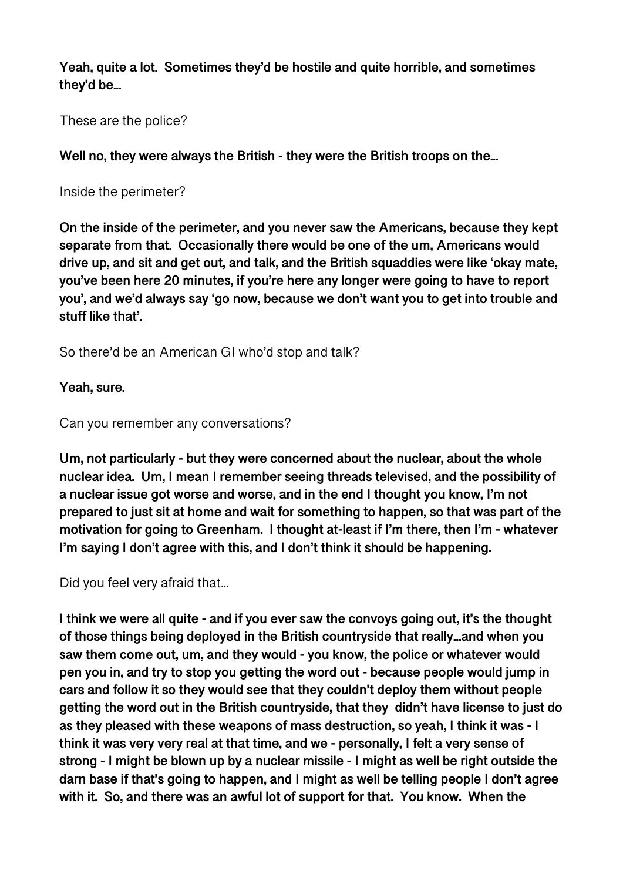**Yeah, quite a lot. Sometimes they'd be hostile and quite horrible, and sometimes they'd be...** 

These are the police?

**Well no, they were always the British - they were the British troops on the...** 

Inside the perimeter?

**On the inside of the perimeter, and you never saw the Americans, because they kept separate from that. Occasionally there would be one of the um, Americans would drive up, and sit and get out, and talk, and the British squaddies were like 'okay mate, you've been here 20 minutes, if you're here any longer were going to have to report you', and we'd always say 'go now, because we don't want you to get into trouble and stuff like that'.** 

So there'd be an American GI who'd stop and talk?

**Yeah, sure.** 

Can you remember any conversations?

**Um, not particularly - but they were concerned about the nuclear, about the whole nuclear idea. Um, I mean I remember seeing threads televised, and the possibility of a nuclear issue got worse and worse, and in the end I thought you know, I'm not prepared to just sit at home and wait for something to happen, so that was part of the motivation for going to Greenham. I thought at-least if I'm there, then I'm - whatever I'm saying I don't agree with this, and I don't think it should be happening.** 

Did you feel very afraid that...

**I think we were all quite - and if you ever saw the convoys going out, it's the thought of those things being deployed in the British countryside that really...and when you saw them come out, um, and they would - you know, the police or whatever would pen you in, and try to stop you getting the word out - because people would jump in cars and follow it so they would see that they couldn't deploy them without people getting the word out in the British countryside, that they didn't have license to just do as they pleased with these weapons of mass destruction, so yeah, I think it was - I think it was very very real at that time, and we - personally, I felt a very sense of strong - I might be blown up by a nuclear missile - I might as well be right outside the darn base if that's going to happen, and I might as well be telling people I don't agree with it. So, and there was an awful lot of support for that. You know. When the**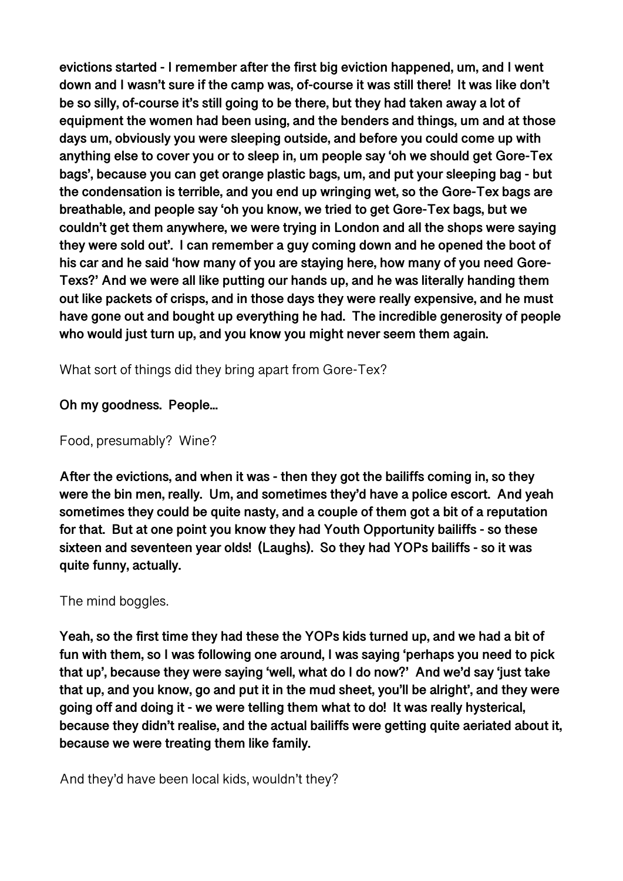**evictions started - I remember after the first big eviction happened, um, and I went down and I wasn't sure if the camp was, of-course it was still there! It was Iike don't be so silly, of-course it's still going to be there, but they had taken away a lot of equipment the women had been using, and the benders and things, um and at those days um, obviously you were sleeping outside, and before you could come up with anything else to cover you or to sleep in, um people say 'oh we should get Gore-Tex bags', because you can get orange plastic bags, um, and put your sleeping bag - but the condensation is terrible, and you end up wringing wet, so the Gore-Tex bags are breathable, and people say 'oh you know, we tried to get Gore-Tex bags, but we couldn't get them anywhere, we were trying in London and all the shops were saying they were sold out'. I can remember a guy coming down and he opened the boot of his car and he said 'how many of you are staying here, how many of you need Gore-Texs?' And we were all like putting our hands up, and he was literally handing them out like packets of crisps, and in those days they were really expensive, and he must have gone out and bought up everything he had. The incredible generosity of people who would just turn up, and you know you might never seem them again.** 

What sort of things did they bring apart from Gore-Tex?

## **Oh my goodness. People...**

## Food, presumably? Wine?

**After the evictions, and when it was - then they got the bailiffs coming in, so they were the bin men, really. Um, and sometimes they'd have a police escort. And yeah sometimes they could be quite nasty, and a couple of them got a bit of a reputation for that. But at one point you know they had Youth Opportunity bailiffs - so these sixteen and seventeen year olds! (Laughs). So they had YOPs bailiffs - so it was quite funny, actually.** 

## The mind boggles.

**Yeah, so the first time they had these the YOPs kids turned up, and we had a bit of fun with them, so I was following one around, I was saying 'perhaps you need to pick that up', because they were saying 'well, what do I do now?' And we'd say 'just take that up, and you know, go and put it in the mud sheet, you'll be alright', and they were going off and doing it - we were telling them what to do! It was really hysterical, because they didn't realise, and the actual bailiffs were getting quite aeriated about it, because we were treating them like family.** 

And they'd have been local kids, wouldn't they?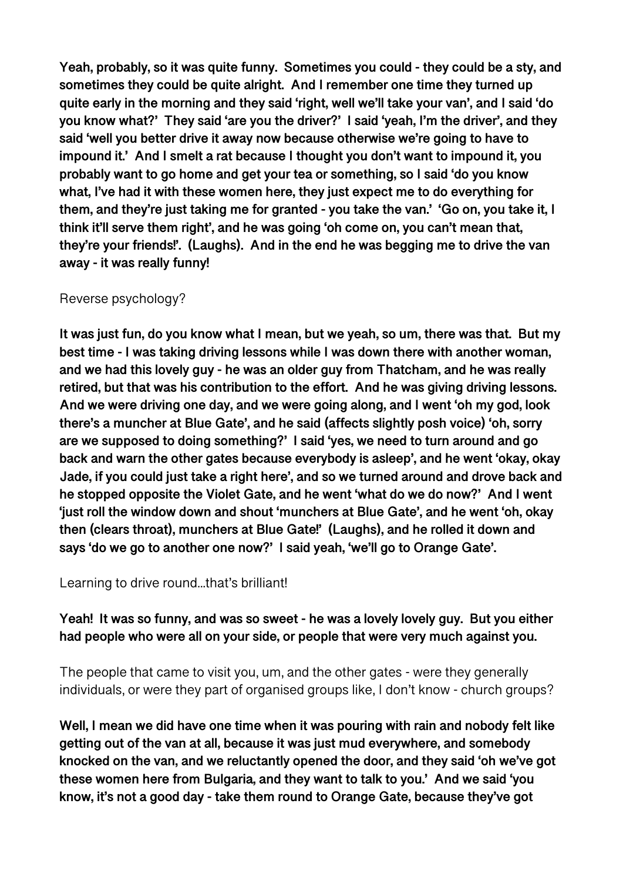**Yeah, probably, so it was quite funny. Sometimes you could - they could be a sty, and sometimes they could be quite alright. And I remember one time they turned up quite early in the morning and they said 'right, well we'll take your van', and I said 'do you know what?' They said 'are you the driver?' I said 'yeah, I'm the driver', and they said 'well you better drive it away now because otherwise we're going to have to impound it.' And I smelt a rat because I thought you don't want to impound it, you probably want to go home and get your tea or something, so I said 'do you know what, I've had it with these women here, they just expect me to do everything for them, and they're just taking me for granted - you take the van.' 'Go on, you take it, I think it'll serve them right', and he was going 'oh come on, you can't mean that, they're your friends!'. (Laughs). And in the end he was begging me to drive the van away - it was really funny!** 

#### Reverse psychology?

**It was just fun, do you know what I mean, but we yeah, so um, there was that. But my best time - I was taking driving lessons while I was down there with another woman, and we had this lovely guy - he was an older guy from Thatcham, and he was really retired, but that was his contribution to the effort. And he was giving driving lessons. And we were driving one day, and we were going along, and I went 'oh my god, look there's a muncher at Blue Gate', and he said (affects slightly posh voice) 'oh, sorry are we supposed to doing something?' I said 'yes, we need to turn around and go back and warn the other gates because everybody is asleep', and he went 'okay, okay Jade, if you could just take a right here', and so we turned around and drove back and he stopped opposite the Violet Gate, and he went 'what do we do now?' And I went 'just roll the window down and shout 'munchers at Blue Gate', and he went 'oh, okay then (clears throat), munchers at Blue Gate!' (Laughs), and he rolled it down and says 'do we go to another one now?' I said yeah, 'we'll go to Orange Gate'.** 

Learning to drive round...that's brilliant!

# **Yeah! It was so funny, and was so sweet - he was a lovely lovely guy. But you either had people who were all on your side, or people that were very much against you.**

The people that came to visit you, um, and the other gates - were they generally individuals, or were they part of organised groups like, I don't know - church groups?

**Well, I mean we did have one time when it was pouring with rain and nobody felt like getting out of the van at all, because it was just mud everywhere, and somebody knocked on the van, and we reluctantly opened the door, and they said 'oh we've got these women here from Bulgaria, and they want to talk to you.' And we said 'you know, it's not a good day - take them round to Orange Gate, because they've got**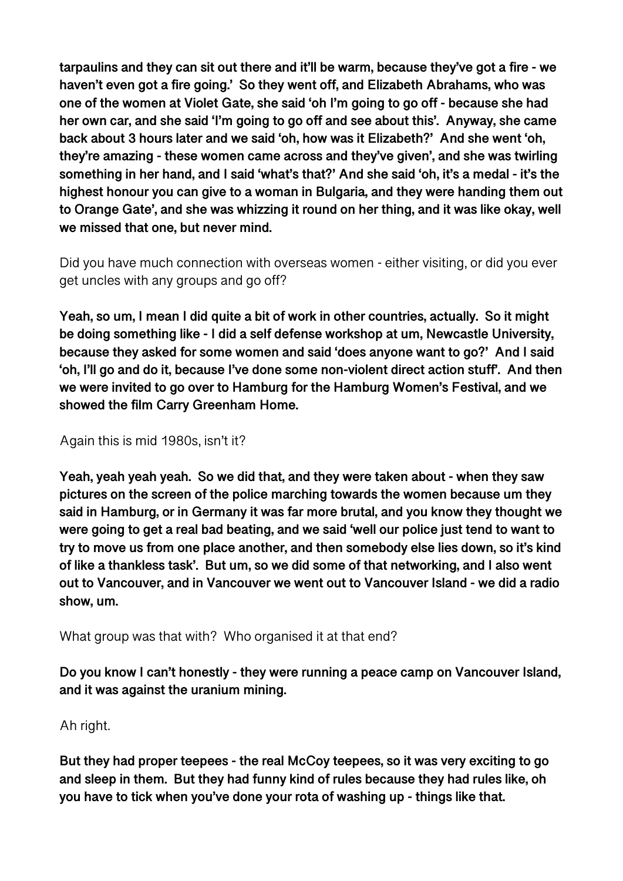**tarpaulins and they can sit out there and it'll be warm, because they've got a fire - we haven't even got a fire going.' So they went off, and Elizabeth Abrahams, who was one of the women at Violet Gate, she said 'oh I'm going to go off - because she had her own car, and she said 'I'm going to go off and see about this'. Anyway, she came back about 3 hours later and we said 'oh, how was it Elizabeth?' And she went 'oh, they're amazing - these women came across and they've given', and she was twirling something in her hand, and I said 'what's that?' And she said 'oh, it's a medal - it's the highest honour you can give to a woman in Bulgaria, and they were handing them out to Orange Gate', and she was whizzing it round on her thing, and it was like okay, well we missed that one, but never mind.** 

Did you have much connection with overseas women - either visiting, or did you ever get uncles with any groups and go off?

**Yeah, so um, I mean I did quite a bit of work in other countries, actually. So it might be doing something like - I did a self defense workshop at um, Newcastle University, because they asked for some women and said 'does anyone want to go?' And I said 'oh, I'll go and do it, because I've done some non-violent direct action stuff'. And then we were invited to go over to Hamburg for the Hamburg Women's Festival, and we showed the film Carry Greenham Home.** 

## Again this is mid 1980s, isn't it?

**Yeah, yeah yeah yeah. So we did that, and they were taken about - when they saw pictures on the screen of the police marching towards the women because um they said in Hamburg, or in Germany it was far more brutal, and you know they thought we were going to get a real bad beating, and we said 'well our police just tend to want to try to move us from one place another, and then somebody else lies down, so it's kind of like a thankless task'. But um, so we did some of that networking, and I also went out to Vancouver, and in Vancouver we went out to Vancouver Island - we did a radio show, um.** 

What group was that with? Who organised it at that end?

**Do you know I can't honestly - they were running a peace camp on Vancouver Island, and it was against the uranium mining.** 

Ah right.

**But they had proper teepees - the real McCoy teepees, so it was very exciting to go and sleep in them. But they had funny kind of rules because they had rules like, oh you have to tick when you've done your rota of washing up - things like that.**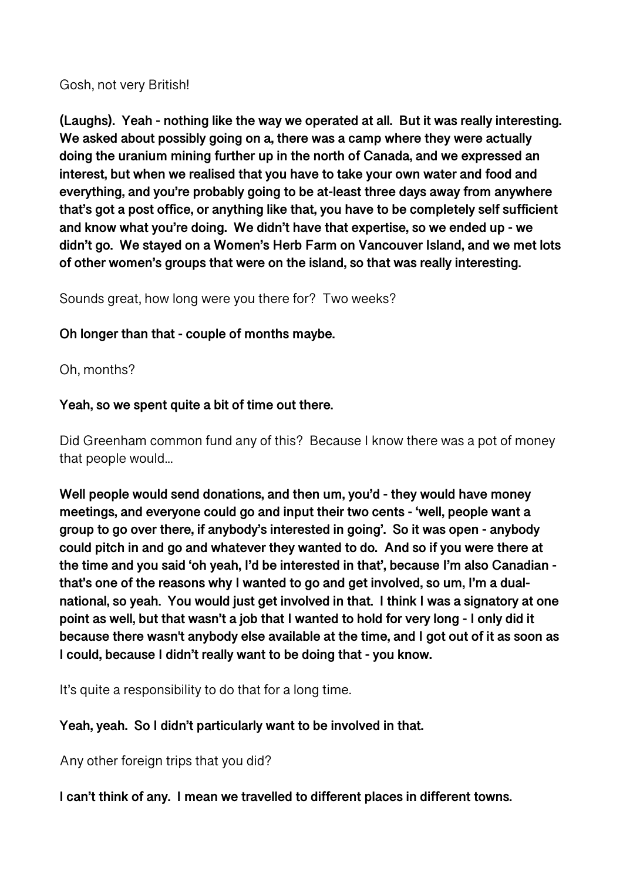Gosh, not very British!

**(Laughs). Yeah - nothing like the way we operated at all. But it was really interesting. We asked about possibly going on a, there was a camp where they were actually doing the uranium mining further up in the north of Canada, and we expressed an interest, but when we realised that you have to take your own water and food and everything, and you're probably going to be at-least three days away from anywhere that's got a post office, or anything like that, you have to be completely self sufficient and know what you're doing. We didn't have that expertise, so we ended up - we didn't go. We stayed on a Women's Herb Farm on Vancouver Island, and we met lots of other women's groups that were on the island, so that was really interesting.** 

Sounds great, how long were you there for? Two weeks?

# **Oh longer than that - couple of months maybe.**

Oh, months?

# **Yeah, so we spent quite a bit of time out there.**

Did Greenham common fund any of this? Because I know there was a pot of money that people would...

**Well people would send donations, and then um, you'd - they would have money meetings, and everyone could go and input their two cents - 'well, people want a group to go over there, if anybody's interested in going'. So it was open - anybody could pitch in and go and whatever they wanted to do. And so if you were there at the time and you said 'oh yeah, I'd be interested in that', because I'm also Canadian that's one of the reasons why I wanted to go and get involved, so um, I'm a dualnational, so yeah. You would just get involved in that. I think I was a signatory at one point as well, but that wasn't a job that I wanted to hold for very long - I only did it because there wasn't anybody else available at the time, and I got out of it as soon as I could, because I didn't really want to be doing that - you know.** 

It's quite a responsibility to do that for a long time.

# **Yeah, yeah. So I didn't particularly want to be involved in that.**

Any other foreign trips that you did?

**I can't think of any. I mean we travelled to different places in different towns.**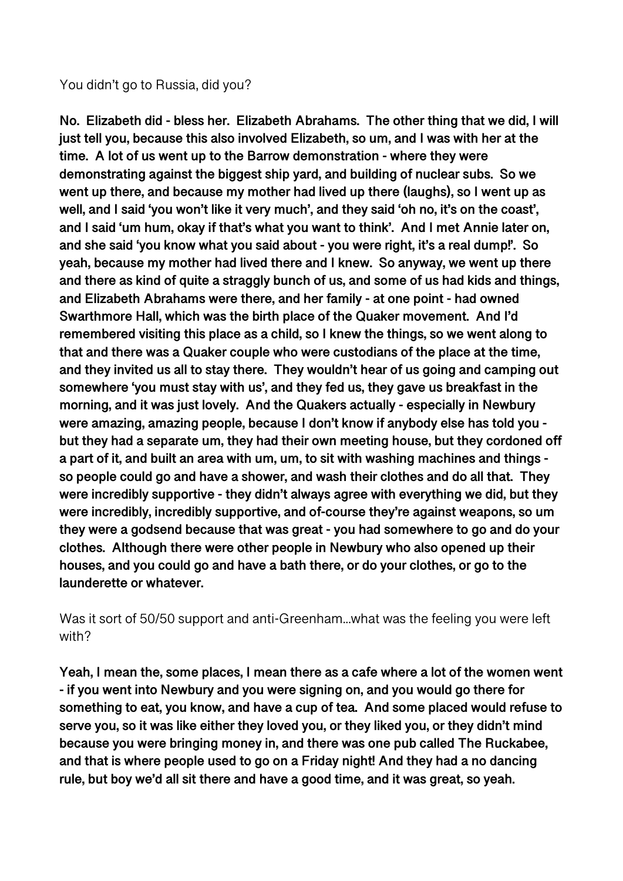#### You didn't go to Russia, did you?

**No. Elizabeth did - bless her. Elizabeth Abrahams. The other thing that we did, I will just tell you, because this also involved Elizabeth, so um, and I was with her at the time. A lot of us went up to the Barrow demonstration - where they were demonstrating against the biggest ship yard, and building of nuclear subs. So we went up there, and because my mother had lived up there (laughs), so I went up as well, and I said 'you won't like it very much', and they said 'oh no, it's on the coast', and I said 'um hum, okay if that's what you want to think'. And I met Annie later on, and she said 'you know what you said about - you were right, it's a real dump!'. So yeah, because my mother had lived there and I knew. So anyway, we went up there and there as kind of quite a straggly bunch of us, and some of us had kids and things, and Elizabeth Abrahams were there, and her family - at one point - had owned Swarthmore Hall, which was the birth place of the Quaker movement. And I'd remembered visiting this place as a child, so I knew the things, so we went along to that and there was a Quaker couple who were custodians of the place at the time, and they invited us all to stay there. They wouldn't hear of us going and camping out somewhere 'you must stay with us', and they fed us, they gave us breakfast in the morning, and it was just lovely. And the Quakers actually - especially in Newbury were amazing, amazing people, because I don't know if anybody else has told you but they had a separate um, they had their own meeting house, but they cordoned off a part of it, and built an area with um, um, to sit with washing machines and things so people could go and have a shower, and wash their clothes and do all that. They were incredibly supportive - they didn't always agree with everything we did, but they were incredibly, incredibly supportive, and of-course they're against weapons, so um they were a godsend because that was great - you had somewhere to go and do your clothes. Although there were other people in Newbury who also opened up their houses, and you could go and have a bath there, or do your clothes, or go to the launderette or whatever.** 

Was it sort of 50/50 support and anti-Greenham...what was the feeling you were left with?

**Yeah, I mean the, some places, I mean there as a cafe where a lot of the women went - if you went into Newbury and you were signing on, and you would go there for something to eat, you know, and have a cup of tea. And some placed would refuse to serve you, so it was like either they loved you, or they liked you, or they didn't mind because you were bringing money in, and there was one pub called The Ruckabee, and that is where people used to go on a Friday night! And they had a no dancing rule, but boy we'd all sit there and have a good time, and it was great, so yeah.**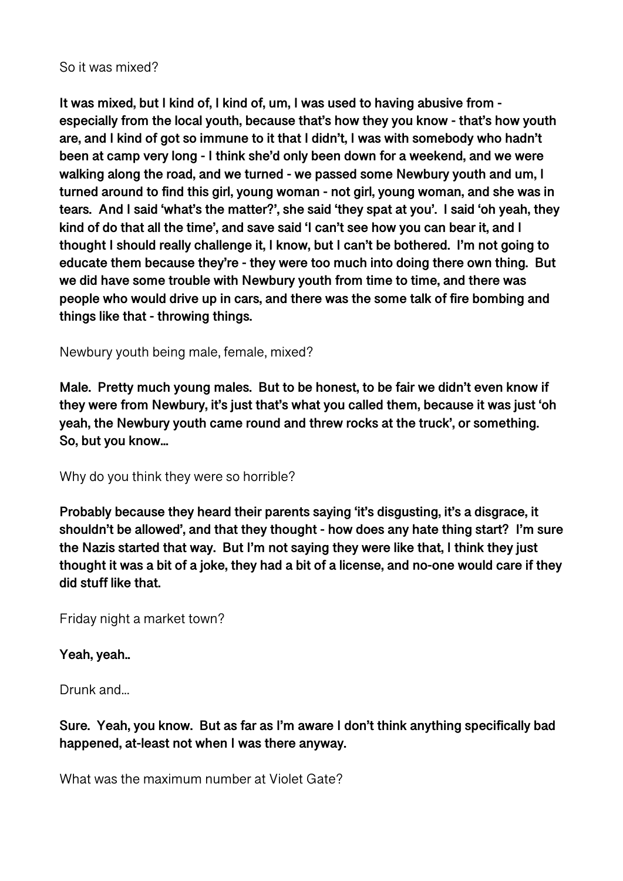#### So it was mixed?

**It was mixed, but I kind of, I kind of, um, I was used to having abusive from especially from the local youth, because that's how they you know - that's how youth are, and I kind of got so immune to it that I didn't, I was with somebody who hadn't been at camp very long - I think she'd only been down for a weekend, and we were walking along the road, and we turned - we passed some Newbury youth and um, I turned around to find this girl, young woman - not girl, young woman, and she was in tears. And I said 'what's the matter?', she said 'they spat at you'. I said 'oh yeah, they kind of do that all the time', and save said 'I can't see how you can bear it, and I thought I should really challenge it, I know, but I can't be bothered. I'm not going to educate them because they're - they were too much into doing there own thing. But we did have some trouble with Newbury youth from time to time, and there was people who would drive up in cars, and there was the some talk of fire bombing and things like that - throwing things.** 

Newbury youth being male, female, mixed?

**Male. Pretty much young males. But to be honest, to be fair we didn't even know if they were from Newbury, it's just that's what you called them, because it was just 'oh yeah, the Newbury youth came round and threw rocks at the truck', or something. So, but you know...** 

Why do you think they were so horrible?

**Probably because they heard their parents saying 'it's disgusting, it's a disgrace, it shouldn't be allowed', and that they thought - how does any hate thing start? I'm sure the Nazis started that way. But I'm not saying they were like that, I think they just thought it was a bit of a joke, they had a bit of a license, and no-one would care if they did stuff like that.** 

Friday night a market town?

## **Yeah, yeah..**

Drunk and...

## **Sure. Yeah, you know. But as far as I'm aware I don't think anything specifically bad happened, at-least not when I was there anyway.**

What was the maximum number at Violet Gate?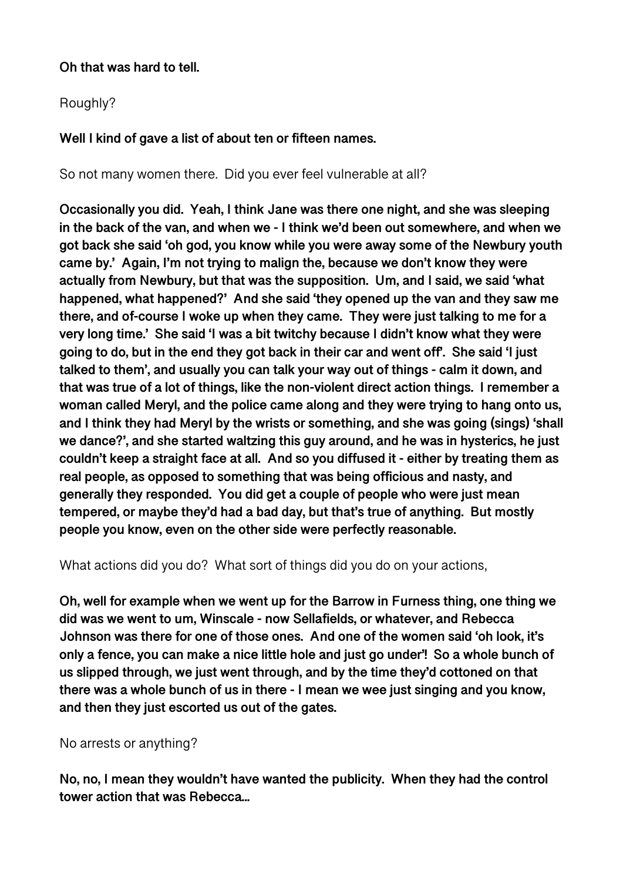## **Oh that was hard to tell.**

# Roughly?

# **Well I kind of gave a list of about ten or fifteen names.**

So not many women there. Did you ever feel vulnerable at all?

**Occasionally you did. Yeah, I think Jane was there one night, and she was sleeping in the back of the van, and when we - I think we'd been out somewhere, and when we got back she said 'oh god, you know while you were away some of the Newbury youth came by.' Again, I'm not trying to malign the, because we don't know they were actually from Newbury, but that was the supposition. Um, and I said, we said 'what happened, what happened?' And she said 'they opened up the van and they saw me there, and of-course I woke up when they came. They were just talking to me for a very long time.' She said 'I was a bit twitchy because I didn't know what they were going to do, but in the end they got back in their car and went off'. She said 'I just talked to them', and usually you can talk your way out of things - calm it down, and that was true of a lot of things, like the non-violent direct action things. I remember a woman called Meryl, and the police came along and they were trying to hang onto us, and I think they had Meryl by the wrists or something, and she was going (sings) 'shall we dance?', and she started waltzing this guy around, and he was in hysterics, he just couldn't keep a straight face at all. And so you diffused it - either by treating them as real people, as opposed to something that was being officious and nasty, and generally they responded. You did get a couple of people who were just mean tempered, or maybe they'd had a bad day, but that's true of anything. But mostly people you know, even on the other side were perfectly reasonable.** 

What actions did you do? What sort of things did you do on your actions,

**Oh, well for example when we went up for the Barrow in Furness thing, one thing we did was we went to um, Winscale - now Sellafields, or whatever, and Rebecca Johnson was there for one of those ones. And one of the women said 'oh look, it's only a fence, you can make a nice little hole and just go under'! So a whole bunch of us slipped through, we just went through, and by the time they'd cottoned on that there was a whole bunch of us in there - I mean we wee just singing and you know, and then they just escorted us out of the gates.** 

No arrests or anything?

**No, no, I mean they wouldn't have wanted the publicity. When they had the control tower action that was Rebecca...**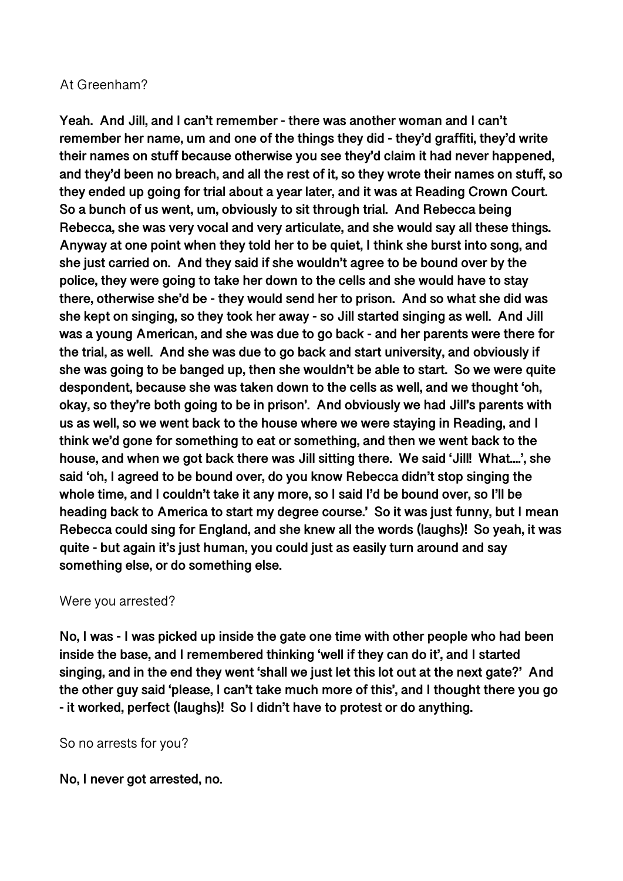#### At Greenham?

**Yeah. And Jill, and I can't remember - there was another woman and I can't remember her name, um and one of the things they did - they'd graffiti, they'd write their names on stuff because otherwise you see they'd claim it had never happened, and they'd been no breach, and all the rest of it, so they wrote their names on stuff, so they ended up going for trial about a year later, and it was at Reading Crown Court. So a bunch of us went, um, obviously to sit through trial. And Rebecca being Rebecca, she was very vocal and very articulate, and she would say all these things. Anyway at one point when they told her to be quiet, I think she burst into song, and she just carried on. And they said if she wouldn't agree to be bound over by the police, they were going to take her down to the cells and she would have to stay there, otherwise she'd be - they would send her to prison. And so what she did was she kept on singing, so they took her away - so Jill started singing as well. And Jill was a young American, and she was due to go back - and her parents were there for the trial, as well. And she was due to go back and start university, and obviously if she was going to be banged up, then she wouldn't be able to start. So we were quite despondent, because she was taken down to the cells as well, and we thought 'oh, okay, so they're both going to be in prison'. And obviously we had Jill's parents with us as well, so we went back to the house where we were staying in Reading, and I think we'd gone for something to eat or something, and then we went back to the house, and when we got back there was Jill sitting there. We said 'Jill! What....', she said 'oh, I agreed to be bound over, do you know Rebecca didn't stop singing the whole time, and I couldn't take it any more, so I said I'd be bound over, so I'll be heading back to America to start my degree course.' So it was just funny, but I mean Rebecca could sing for England, and she knew all the words (laughs)! So yeah, it was quite - but again it's just human, you could just as easily turn around and say something else, or do something else.** 

#### Were you arrested?

**No, I was - I was picked up inside the gate one time with other people who had been inside the base, and I remembered thinking 'well if they can do it', and I started singing, and in the end they went 'shall we just let this lot out at the next gate?' And the other guy said 'please, I can't take much more of this', and I thought there you go - it worked, perfect (laughs)! So I didn't have to protest or do anything.** 

So no arrests for you?

**No, I never got arrested, no.**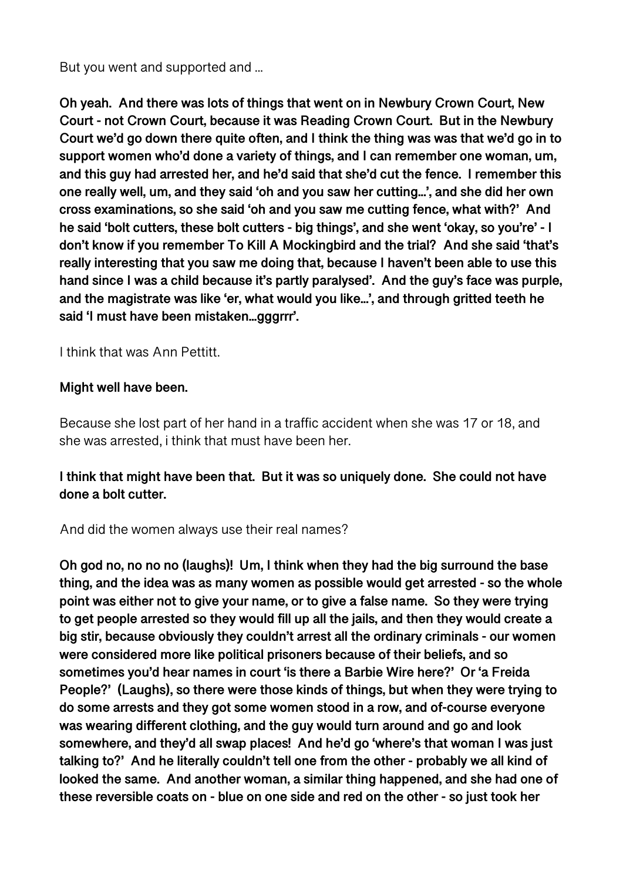But you went and supported and ...

**Oh yeah. And there was lots of things that went on in Newbury Crown Court, New Court - not Crown Court, because it was Reading Crown Court. But in the Newbury Court we'd go down there quite often, and I think the thing was was that we'd go in to support women who'd done a variety of things, and I can remember one woman, um, and this guy had arrested her, and he'd said that she'd cut the fence. I remember this one really well, um, and they said 'oh and you saw her cutting...', and she did her own cross examinations, so she said 'oh and you saw me cutting fence, what with?' And he said 'bolt cutters, these bolt cutters - big things', and she went 'okay, so you're' - I don't know if you remember To Kill A Mockingbird and the trial? And she said 'that's really interesting that you saw me doing that, because I haven't been able to use this hand since I was a child because it's partly paralysed'. And the guy's face was purple, and the magistrate was like 'er, what would you like...', and through gritted teeth he said 'I must have been mistaken...gggrrr'.** 

I think that was Ann Pettitt.

#### **Might well have been.**

Because she lost part of her hand in a traffic accident when she was 17 or 18, and she was arrested, i think that must have been her.

# **I think that might have been that. But it was so uniquely done. She could not have done a bolt cutter.**

And did the women always use their real names?

**Oh god no, no no no (laughs)! Um, I think when they had the big surround the base thing, and the idea was as many women as possible would get arrested - so the whole point was either not to give your name, or to give a false name. So they were trying to get people arrested so they would fill up all the jails, and then they would create a big stir, because obviously they couldn't arrest all the ordinary criminals - our women were considered more like political prisoners because of their beliefs, and so sometimes you'd hear names in court 'is there a Barbie Wire here?' Or 'a Freida People?' (Laughs), so there were those kinds of things, but when they were trying to do some arrests and they got some women stood in a row, and of-course everyone was wearing different clothing, and the guy would turn around and go and look somewhere, and they'd all swap places! And he'd go 'where's that woman I was just talking to?' And he literally couldn't tell one from the other - probably we all kind of looked the same. And another woman, a similar thing happened, and she had one of these reversible coats on - blue on one side and red on the other - so just took her**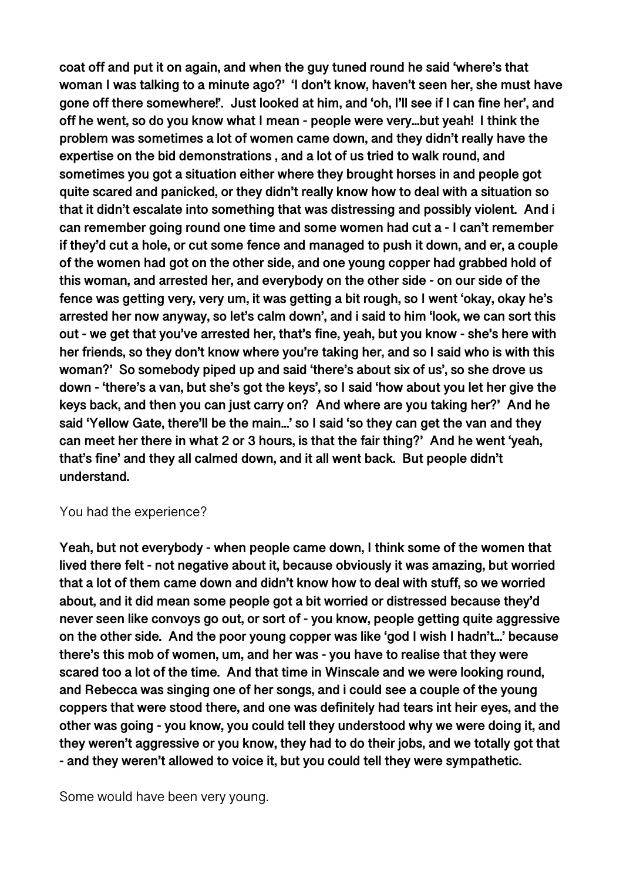**coat off and put it on again, and when the guy tuned round he said 'where's that woman I was talking to a minute ago?' 'I don't know, haven't seen her, she must have gone off there somewhere!'. Just looked at him, and 'oh, I'll see if I can fine her', and off he went, so do you know what I mean - people were very...but yeah! I think the problem was sometimes a lot of women came down, and they didn't really have the expertise on the bid demonstrations , and a lot of us tried to walk round, and sometimes you got a situation either where they brought horses in and people got quite scared and panicked, or they didn't really know how to deal with a situation so that it didn't escalate into something that was distressing and possibly violent. And i can remember going round one time and some women had cut a - I can't remember if they'd cut a hole, or cut some fence and managed to push it down, and er, a couple of the women had got on the other side, and one young copper had grabbed hold of this woman, and arrested her, and everybody on the other side - on our side of the fence was getting very, very um, it was getting a bit rough, so I went 'okay, okay he's arrested her now anyway, so let's calm down', and i said to him 'look, we can sort this out - we get that you've arrested her, that's fine, yeah, but you know - she's here with her friends, so they don't know where you're taking her, and so I said who is with this woman?' So somebody piped up and said 'there's about six of us', so she drove us down - 'there's a van, but she's got the keys', so I said 'how about you let her give the keys back, and then you can just carry on? And where are you taking her?' And he said 'Yellow Gate, there'll be the main...' so I said 'so they can get the van and they can meet her there in what 2 or 3 hours, is that the fair thing?' And he went 'yeah, that's fine' and they all calmed down, and it all went back. But people didn't understand.** 

#### You had the experience?

**Yeah, but not everybody - when people came down, I think some of the women that lived there felt - not negative about it, because obviously it was amazing, but worried that a lot of them came down and didn't know how to deal with stuff, so we worried about, and it did mean some people got a bit worried or distressed because they'd never seen like convoys go out, or sort of - you know, people getting quite aggressive on the other side. And the poor young copper was like 'god I wish I hadn't...' because there's this mob of women, um, and her was - you have to realise that they were scared too a lot of the time. And that time in Winscale and we were looking round, and Rebecca was singing one of her songs, and i could see a couple of the young coppers that were stood there, and one was definitely had tears int heir eyes, and the other was going - you know, you could tell they understood why we were doing it, and they weren't aggressive or you know, they had to do their jobs, and we totally got that - and they weren't allowed to voice it, but you could tell they were sympathetic.** 

Some would have been very young.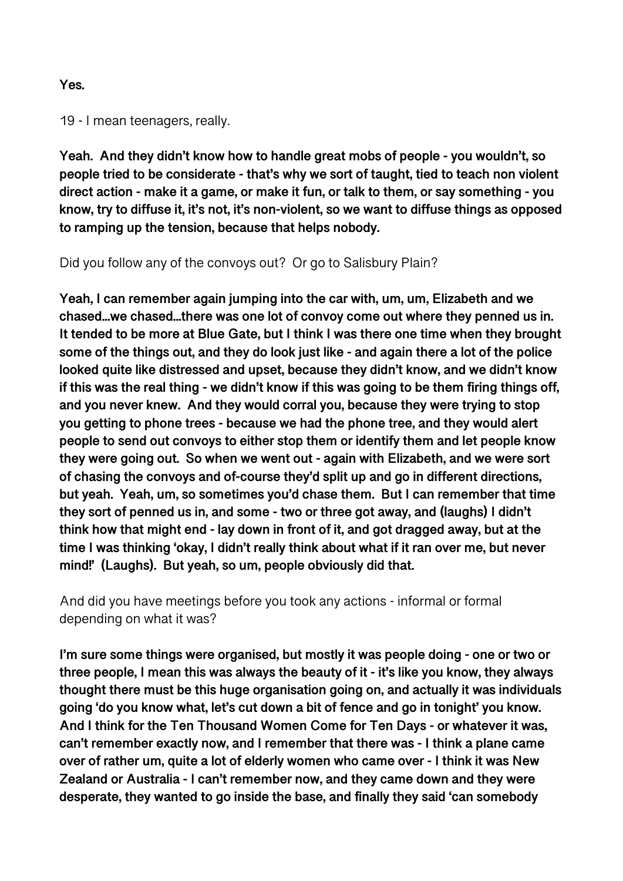#### **Yes.**

19 - I mean teenagers, really.

**Yeah. And they didn't know how to handle great mobs of people - you wouldn't, so people tried to be considerate - that's why we sort of taught, tied to teach non violent direct action - make it a game, or make it fun, or talk to them, or say something - you know, try to diffuse it, it's not, it's non-violent, so we want to diffuse things as opposed to ramping up the tension, because that helps nobody.** 

Did you follow any of the convoys out? Or go to Salisbury Plain?

**Yeah, I can remember again jumping into the car with, um, um, Elizabeth and we chased...we chased...there was one lot of convoy come out where they penned us in. It tended to be more at Blue Gate, but I think I was there one time when they brought some of the things out, and they do look just like - and again there a lot of the police looked quite like distressed and upset, because they didn't know, and we didn't know if this was the real thing - we didn't know if this was going to be them firing things off, and you never knew. And they would corral you, because they were trying to stop you getting to phone trees - because we had the phone tree, and they would alert people to send out convoys to either stop them or identify them and let people know they were going out. So when we went out - again with Elizabeth, and we were sort of chasing the convoys and of-course they'd split up and go in different directions, but yeah. Yeah, um, so sometimes you'd chase them. But I can remember that time they sort of penned us in, and some - two or three got away, and (laughs) I didn't think how that might end - lay down in front of it, and got dragged away, but at the time I was thinking 'okay, I didn't really think about what if it ran over me, but never mind!' (Laughs). But yeah, so um, people obviously did that.** 

And did you have meetings before you took any actions - informal or formal depending on what it was?

**I'm sure some things were organised, but mostly it was people doing - one or two or three people, I mean this was always the beauty of it - it's like you know, they always thought there must be this huge organisation going on, and actually it was individuals going 'do you know what, let's cut down a bit of fence and go in tonight' you know. And I think for the Ten Thousand Women Come for Ten Days - or whatever it was, can't remember exactly now, and I remember that there was - I think a plane came over of rather um, quite a lot of elderly women who came over - I think it was New Zealand or Australia - I can't remember now, and they came down and they were desperate, they wanted to go inside the base, and finally they said 'can somebody**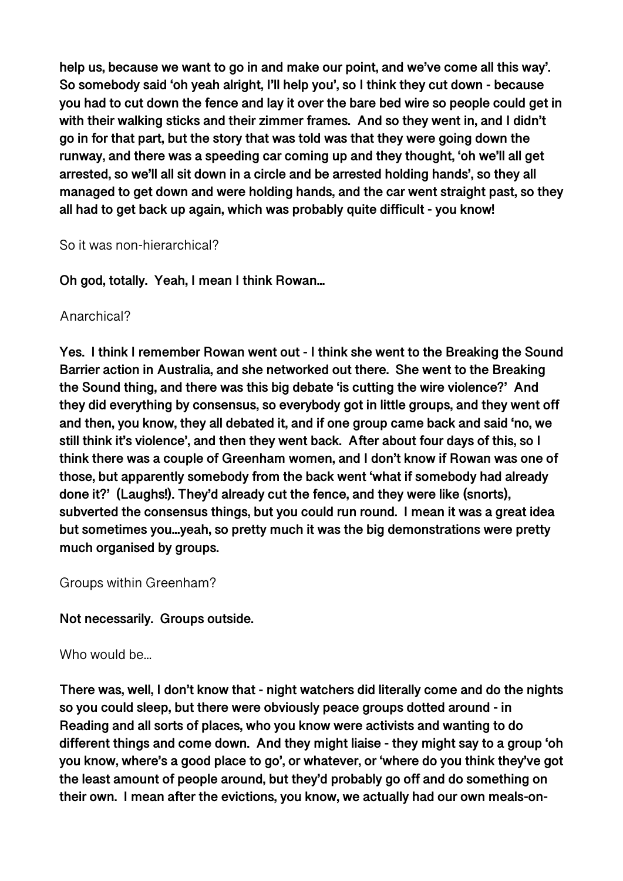**help us, because we want to go in and make our point, and we've come all this way'. So somebody said 'oh yeah alright, I'll help you', so I think they cut down - because you had to cut down the fence and lay it over the bare bed wire so people could get in with their walking sticks and their zimmer frames. And so they went in, and I didn't go in for that part, but the story that was told was that they were going down the runway, and there was a speeding car coming up and they thought, 'oh we'll all get arrested, so we'll all sit down in a circle and be arrested holding hands', so they all managed to get down and were holding hands, and the car went straight past, so they all had to get back up again, which was probably quite difficult - you know!** 

#### So it was non-hierarchical?

**Oh god, totally. Yeah, I mean I think Rowan...** 

#### Anarchical?

**Yes. I think I remember Rowan went out - I think she went to the Breaking the Sound Barrier action in Australia, and she networked out there. She went to the Breaking the Sound thing, and there was this big debate 'is cutting the wire violence?' And they did everything by consensus, so everybody got in little groups, and they went off and then, you know, they all debated it, and if one group came back and said 'no, we still think it's violence', and then they went back. After about four days of this, so I think there was a couple of Greenham women, and I don't know if Rowan was one of those, but apparently somebody from the back went 'what if somebody had already done it?' (Laughs!). They'd already cut the fence, and they were like (snorts), subverted the consensus things, but you could run round. I mean it was a great idea but sometimes you...yeah, so pretty much it was the big demonstrations were pretty much organised by groups.** 

Groups within Greenham?

## **Not necessarily. Groups outside.**

Who would be...

**There was, well, I don't know that - night watchers did literally come and do the nights so you could sleep, but there were obviously peace groups dotted around - in Reading and all sorts of places, who you know were activists and wanting to do different things and come down. And they might liaise - they might say to a group 'oh you know, where's a good place to go', or whatever, or 'where do you think they've got the least amount of people around, but they'd probably go off and do something on their own. I mean after the evictions, you know, we actually had our own meals-on-**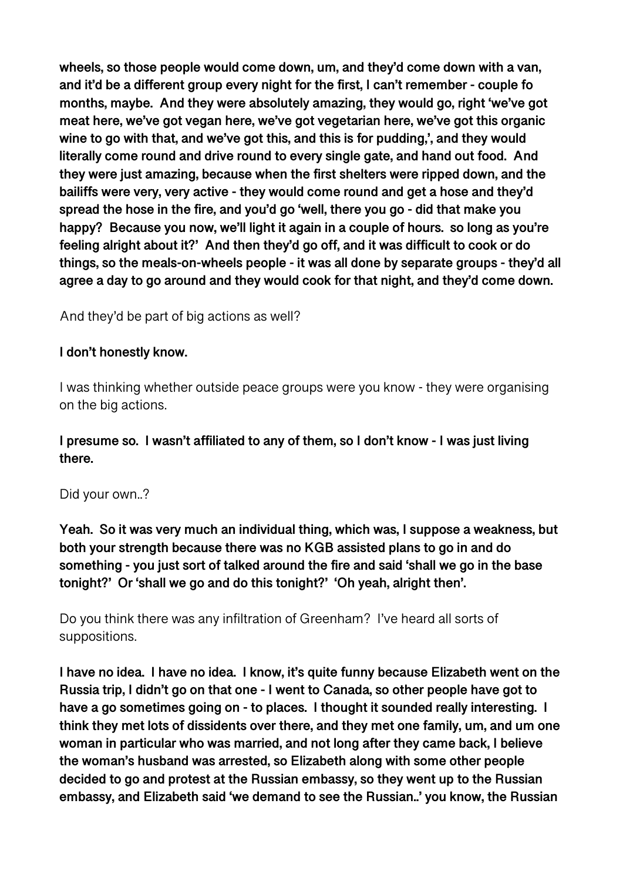**wheels, so those people would come down, um, and they'd come down with a van, and it'd be a different group every night for the first, I can't remember - couple fo months, maybe. And they were absolutely amazing, they would go, right 'we've got meat here, we've got vegan here, we've got vegetarian here, we've got this organic wine to go with that, and we've got this, and this is for pudding,', and they would literally come round and drive round to every single gate, and hand out food. And they were just amazing, because when the first shelters were ripped down, and the bailiffs were very, very active - they would come round and get a hose and they'd spread the hose in the fire, and you'd go 'well, there you go - did that make you happy? Because you now, we'll light it again in a couple of hours. so long as you're feeling alright about it?' And then they'd go off, and it was difficult to cook or do things, so the meals-on-wheels people - it was all done by separate groups - they'd all agree a day to go around and they would cook for that night, and they'd come down.** 

And they'd be part of big actions as well?

## **I don't honestly know.**

I was thinking whether outside peace groups were you know - they were organising on the big actions.

**I presume so. I wasn't affiliated to any of them, so I don't know - I was just living there.** 

## Did your own..?

**Yeah. So it was very much an individual thing, which was, I suppose a weakness, but both your strength because there was no KGB assisted plans to go in and do something - you just sort of talked around the fire and said 'shall we go in the base tonight?' Or 'shall we go and do this tonight?' 'Oh yeah, alright then'.** 

Do you think there was any infiltration of Greenham? I've heard all sorts of suppositions.

**I have no idea. I have no idea. I know, it's quite funny because Elizabeth went on the Russia trip, I didn't go on that one - I went to Canada, so other people have got to have a go sometimes going on - to places. I thought it sounded really interesting. I think they met lots of dissidents over there, and they met one family, um, and um one woman in particular who was married, and not long after they came back, I believe the woman's husband was arrested, so Elizabeth along with some other people decided to go and protest at the Russian embassy, so they went up to the Russian embassy, and Elizabeth said 'we demand to see the Russian..' you know, the Russian**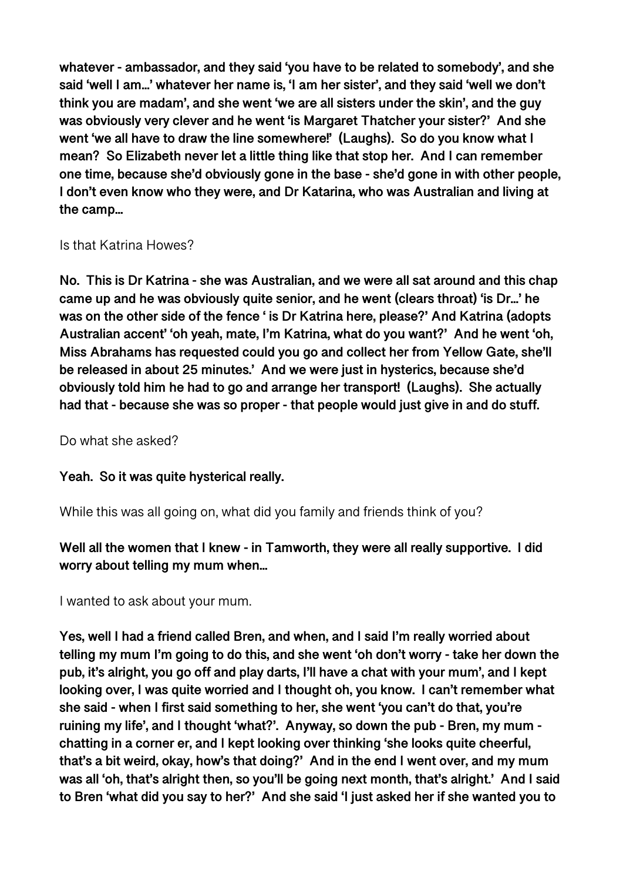**whatever - ambassador, and they said 'you have to be related to somebody', and she said 'well I am...' whatever her name is, 'I am her sister', and they said 'well we don't think you are madam', and she went 'we are all sisters under the skin', and the guy was obviously very clever and he went 'is Margaret Thatcher your sister?' And she went 'we all have to draw the line somewhere!' (Laughs). So do you know what I mean? So Elizabeth never let a little thing like that stop her. And I can remember one time, because she'd obviously gone in the base - she'd gone in with other people, I don't even know who they were, and Dr Katarina, who was Australian and living at the camp...** 

Is that Katrina Howes?

**No. This is Dr Katrina - she was Australian, and we were all sat around and this chap came up and he was obviously quite senior, and he went (clears throat) 'is Dr...' he was on the other side of the fence ' is Dr Katrina here, please?' And Katrina (adopts Australian accent' 'oh yeah, mate, I'm Katrina, what do you want?' And he went 'oh, Miss Abrahams has requested could you go and collect her from Yellow Gate, she'll be released in about 25 minutes.' And we were just in hysterics, because she'd obviously told him he had to go and arrange her transport! (Laughs). She actually had that - because she was so proper - that people would just give in and do stuff.** 

Do what she asked?

**Yeah. So it was quite hysterical really.** 

While this was all going on, what did you family and friends think of you?

**Well all the women that I knew - in Tamworth, they were all really supportive. I did worry about telling my mum when...** 

I wanted to ask about your mum.

**Yes, well I had a friend called Bren, and when, and I said I'm really worried about telling my mum I'm going to do this, and she went 'oh don't worry - take her down the pub, it's alright, you go off and play darts, I'll have a chat with your mum', and I kept looking over, I was quite worried and I thought oh, you know. I can't remember what she said - when I first said something to her, she went 'you can't do that, you're ruining my life', and I thought 'what?'. Anyway, so down the pub - Bren, my mum chatting in a corner er, and I kept looking over thinking 'she looks quite cheerful, that's a bit weird, okay, how's that doing?' And in the end I went over, and my mum was all 'oh, that's alright then, so you'll be going next month, that's alright.' And I said to Bren 'what did you say to her?' And she said 'I just asked her if she wanted you to**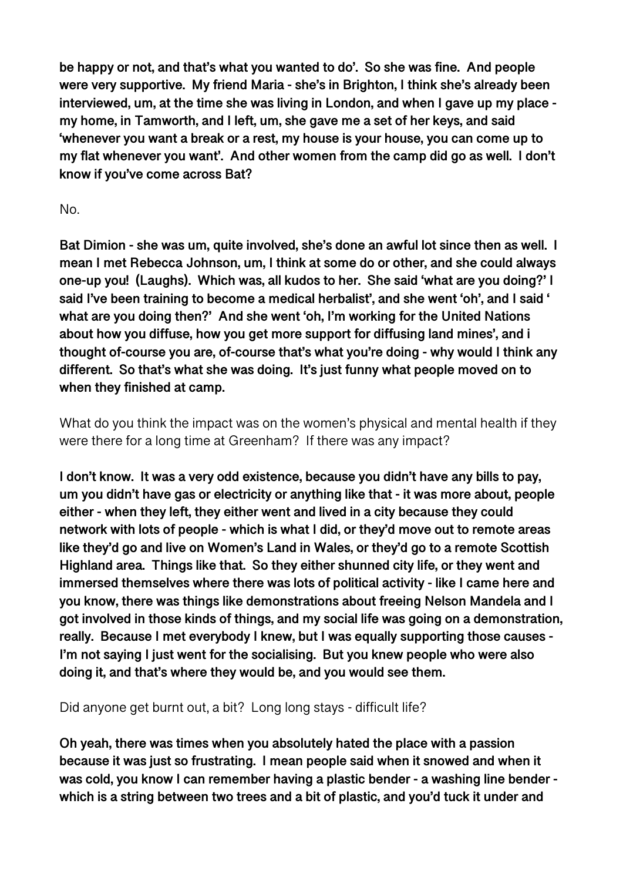**be happy or not, and that's what you wanted to do'. So she was fine. And people were very supportive. My friend Maria - she's in Brighton, I think she's already been interviewed, um, at the time she was living in London, and when I gave up my place my home, in Tamworth, and I left, um, she gave me a set of her keys, and said 'whenever you want a break or a rest, my house is your house, you can come up to my flat whenever you want'. And other women from the camp did go as well. I don't know if you've come across Bat?** 

# No.

**Bat Dimion - she was um, quite involved, she's done an awful lot since then as well. I mean I met Rebecca Johnson, um, I think at some do or other, and she could always one-up you! (Laughs). Which was, all kudos to her. She said 'what are you doing?' I said I've been training to become a medical herbalist', and she went 'oh', and I said ' what are you doing then?' And she went 'oh, I'm working for the United Nations about how you diffuse, how you get more support for diffusing land mines', and i thought of-course you are, of-course that's what you're doing - why would I think any different. So that's what she was doing. It's just funny what people moved on to when they finished at camp.** 

What do you think the impact was on the women's physical and mental health if they were there for a long time at Greenham? If there was any impact?

**I don't know. It was a very odd existence, because you didn't have any bills to pay, um you didn't have gas or electricity or anything like that - it was more about, people either - when they left, they either went and lived in a city because they could network with lots of people - which is what I did, or they'd move out to remote areas like they'd go and live on Women's Land in Wales, or they'd go to a remote Scottish Highland area. Things like that. So they either shunned city life, or they went and immersed themselves where there was lots of political activity - like I came here and you know, there was things like demonstrations about freeing Nelson Mandela and I got involved in those kinds of things, and my social life was going on a demonstration, really. Because I met everybody I knew, but I was equally supporting those causes - I'm not saying I just went for the socialising. But you knew people who were also doing it, and that's where they would be, and you would see them.** 

Did anyone get burnt out, a bit? Long long stays - difficult life?

**Oh yeah, there was times when you absolutely hated the place with a passion because it was just so frustrating. I mean people said when it snowed and when it was cold, you know I can remember having a plastic bender - a washing line bender which is a string between two trees and a bit of plastic, and you'd tuck it under and**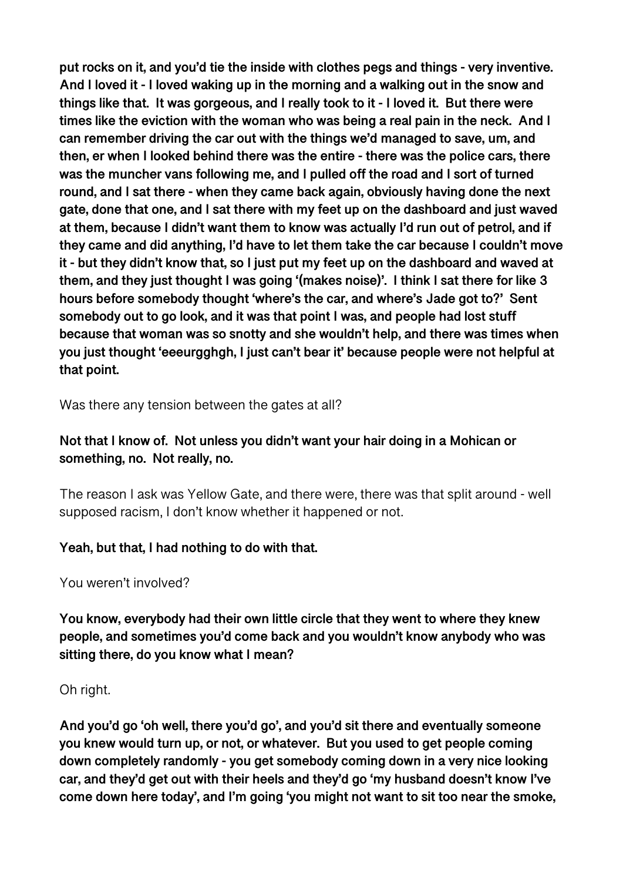**put rocks on it, and you'd tie the inside with clothes pegs and things - very inventive. And I loved it - I loved waking up in the morning and a walking out in the snow and things like that. It was gorgeous, and I really took to it - I loved it. But there were times like the eviction with the woman who was being a real pain in the neck. And I can remember driving the car out with the things we'd managed to save, um, and then, er when I looked behind there was the entire - there was the police cars, there was the muncher vans following me, and I pulled off the road and I sort of turned round, and I sat there - when they came back again, obviously having done the next gate, done that one, and I sat there with my feet up on the dashboard and just waved at them, because I didn't want them to know was actually I'd run out of petrol, and if they came and did anything, I'd have to let them take the car because I couldn't move it - but they didn't know that, so I just put my feet up on the dashboard and waved at them, and they just thought I was going '(makes noise)'. I think I sat there for like 3 hours before somebody thought 'where's the car, and where's Jade got to?' Sent somebody out to go look, and it was that point I was, and people had lost stuff because that woman was so snotty and she wouldn't help, and there was times when you just thought 'eeeurgghgh, I just can't bear it' because people were not helpful at that point.** 

Was there any tension between the gates at all?

# **Not that I know of. Not unless you didn't want your hair doing in a Mohican or something, no. Not really, no.**

The reason I ask was Yellow Gate, and there were, there was that split around - well supposed racism, I don't know whether it happened or not.

# **Yeah, but that, I had nothing to do with that.**

You weren't involved?

**You know, everybody had their own little circle that they went to where they knew people, and sometimes you'd come back and you wouldn't know anybody who was sitting there, do you know what I mean?** 

## Oh right.

**And you'd go 'oh well, there you'd go', and you'd sit there and eventually someone you knew would turn up, or not, or whatever. But you used to get people coming down completely randomly - you get somebody coming down in a very nice looking car, and they'd get out with their heels and they'd go 'my husband doesn't know I've come down here today', and I'm going 'you might not want to sit too near the smoke,**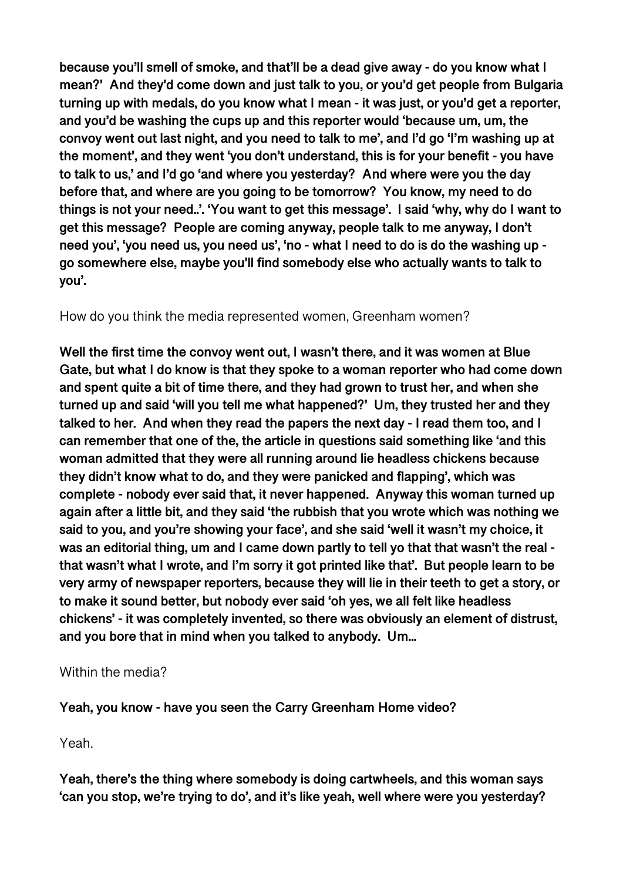**because you'll smell of smoke, and that'll be a dead give away - do you know what I mean?' And they'd come down and just talk to you, or you'd get people from Bulgaria turning up with medals, do you know what I mean - it was just, or you'd get a reporter, and you'd be washing the cups up and this reporter would 'because um, um, the convoy went out last night, and you need to talk to me', and I'd go 'I'm washing up at the moment', and they went 'you don't understand, this is for your benefit - you have to talk to us,' and I'd go 'and where you yesterday? And where were you the day before that, and where are you going to be tomorrow? You know, my need to do things is not your need..'. 'You want to get this message'. I said 'why, why do I want to get this message? People are coming anyway, people talk to me anyway, I don't need you', 'you need us, you need us', 'no - what I need to do is do the washing up go somewhere else, maybe you'll find somebody else who actually wants to talk to you'.** 

# How do you think the media represented women, Greenham women?

**Well the first time the convoy went out, I wasn't there, and it was women at Blue Gate, but what I do know is that they spoke to a woman reporter who had come down and spent quite a bit of time there, and they had grown to trust her, and when she turned up and said 'will you tell me what happened?' Um, they trusted her and they talked to her. And when they read the papers the next day - I read them too, and I can remember that one of the, the article in questions said something like 'and this woman admitted that they were all running around lie headless chickens because they didn't know what to do, and they were panicked and flapping', which was complete - nobody ever said that, it never happened. Anyway this woman turned up again after a little bit, and they said 'the rubbish that you wrote which was nothing we said to you, and you're showing your face', and she said 'well it wasn't my choice, it was an editorial thing, um and I came down partly to tell yo that that wasn't the real that wasn't what I wrote, and I'm sorry it got printed like that'. But people learn to be very army of newspaper reporters, because they will lie in their teeth to get a story, or to make it sound better, but nobody ever said 'oh yes, we all felt like headless chickens' - it was completely invented, so there was obviously an element of distrust, and you bore that in mind when you talked to anybody. Um...** 

## Within the media?

**Yeah, you know - have you seen the Carry Greenham Home video?** 

Yeah.

**Yeah, there's the thing where somebody is doing cartwheels, and this woman says 'can you stop, we're trying to do', and it's like yeah, well where were you yesterday?**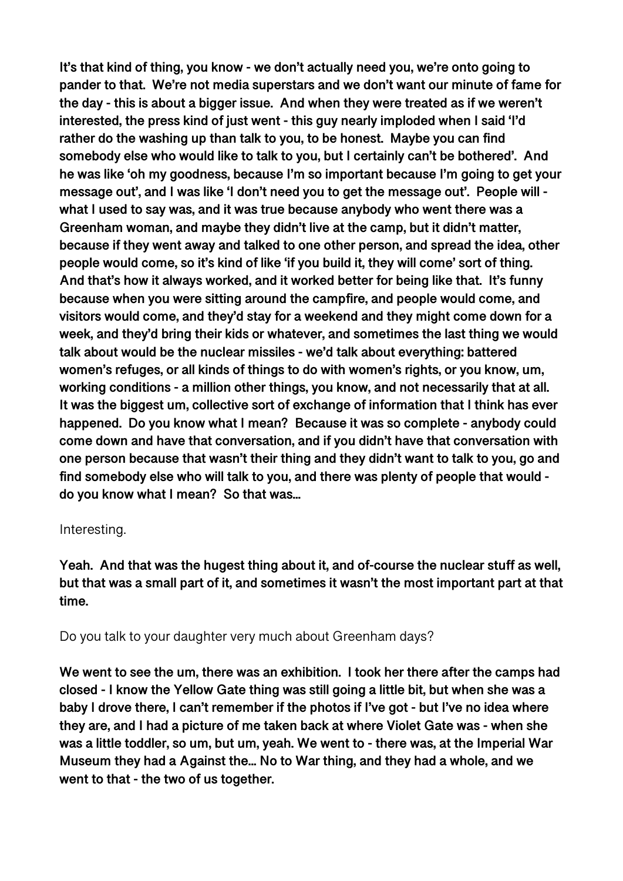**It's that kind of thing, you know - we don't actually need you, we're onto going to pander to that. We're not media superstars and we don't want our minute of fame for the day - this is about a bigger issue. And when they were treated as if we weren't interested, the press kind of just went - this guy nearly imploded when I said 'I'd rather do the washing up than talk to you, to be honest. Maybe you can find somebody else who would like to talk to you, but I certainly can't be bothered'. And he was like 'oh my goodness, because I'm so important because I'm going to get your message out', and I was like 'I don't need you to get the message out'. People will what I used to say was, and it was true because anybody who went there was a Greenham woman, and maybe they didn't live at the camp, but it didn't matter, because if they went away and talked to one other person, and spread the idea, other people would come, so it's kind of like 'if you build it, they will come' sort of thing. And that's how it always worked, and it worked better for being like that. It's funny because when you were sitting around the campfire, and people would come, and visitors would come, and they'd stay for a weekend and they might come down for a week, and they'd bring their kids or whatever, and sometimes the last thing we would talk about would be the nuclear missiles - we'd talk about everything: battered women's refuges, or all kinds of things to do with women's rights, or you know, um, working conditions - a million other things, you know, and not necessarily that at all. It was the biggest um, collective sort of exchange of information that I think has ever happened. Do you know what I mean? Because it was so complete - anybody could come down and have that conversation, and if you didn't have that conversation with one person because that wasn't their thing and they didn't want to talk to you, go and find somebody else who will talk to you, and there was plenty of people that would do you know what I mean? So that was...** 

#### Interesting.

**Yeah. And that was the hugest thing about it, and of-course the nuclear stuff as well, but that was a small part of it, and sometimes it wasn't the most important part at that time.** 

Do you talk to your daughter very much about Greenham days?

We went to see the um, there was an exhibition. I took her there after the camps had **closed - I know the Yellow Gate thing was still going a little bit, but when she was a baby I drove there, I can't remember if the photos if I've got - but I've no idea where they are, and I had a picture of me taken back at where Violet Gate was - when she was a little toddler, so um, but um, yeah. We went to - there was, at the Imperial War Museum they had a Against the... No to War thing, and they had a whole, and we went to that - the two of us together.**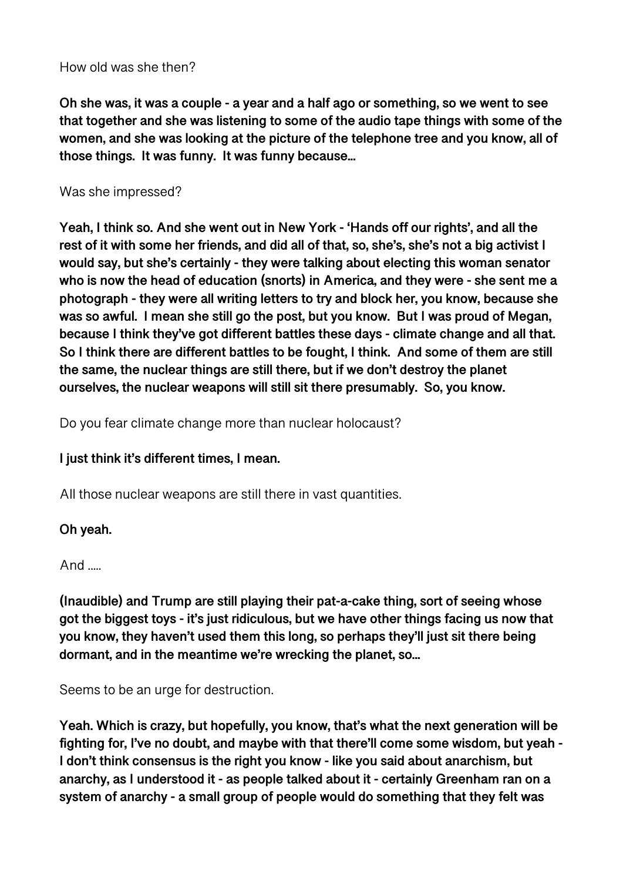#### How old was she then?

**Oh she was, it was a couple - a year and a half ago or something, so we went to see that together and she was listening to some of the audio tape things with some of the women, and she was looking at the picture of the telephone tree and you know, all of those things. It was funny. It was funny because...** 

#### Was she impressed?

**Yeah, I think so. And she went out in New York - 'Hands off our rights', and all the rest of it with some her friends, and did all of that, so, she's, she's not a big activist I would say, but she's certainly - they were talking about electing this woman senator who is now the head of education (snorts) in America, and they were - she sent me a photograph - they were all writing letters to try and block her, you know, because she was so awful. I mean she still go the post, but you know. But I was proud of Megan, because I think they've got different battles these days - climate change and all that. So I think there are different battles to be fought, I think. And some of them are still the same, the nuclear things are still there, but if we don't destroy the planet ourselves, the nuclear weapons will still sit there presumably. So, you know.** 

Do you fear climate change more than nuclear holocaust?

## **I just think it's different times, I mean.**

All those nuclear weapons are still there in vast quantities.

#### **Oh yeah.**

#### And .....

**(Inaudible) and Trump are still playing their pat-a-cake thing, sort of seeing whose got the biggest toys - it's just ridiculous, but we have other things facing us now that you know, they haven't used them this long, so perhaps they'll just sit there being dormant, and in the meantime we're wrecking the planet, so...** 

Seems to be an urge for destruction.

**Yeah. Which is crazy, but hopefully, you know, that's what the next generation will be fighting for, I've no doubt, and maybe with that there'll come some wisdom, but yeah - I don't think consensus is the right you know - like you said about anarchism, but anarchy, as I understood it - as people talked about it - certainly Greenham ran on a system of anarchy - a small group of people would do something that they felt was**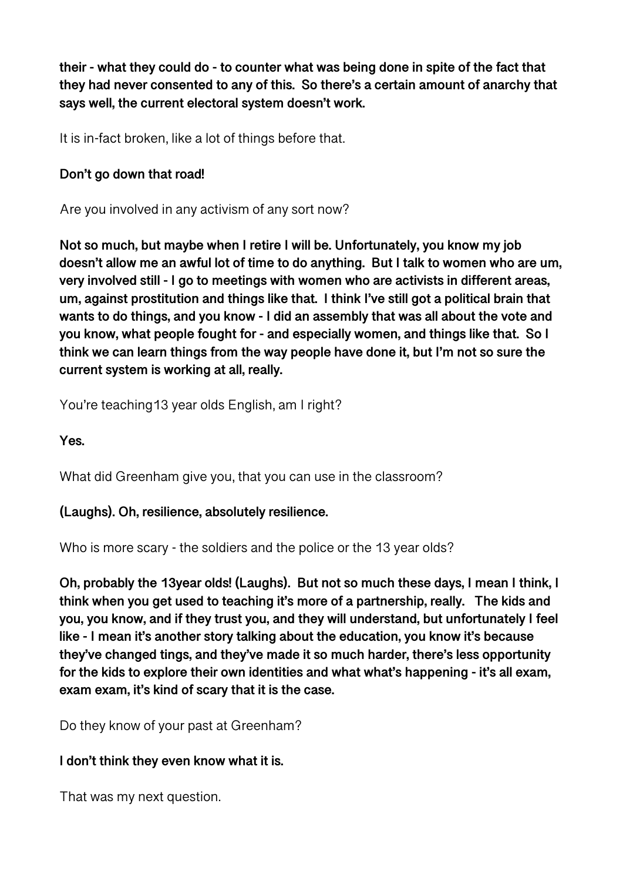**their - what they could do - to counter what was being done in spite of the fact that they had never consented to any of this. So there's a certain amount of anarchy that says well, the current electoral system doesn't work.** 

It is in-fact broken, like a lot of things before that.

## **Don't go down that road!**

Are you involved in any activism of any sort now?

**Not so much, but maybe when I retire I will be. Unfortunately, you know my job doesn't allow me an awful lot of time to do anything. But I talk to women who are um, very involved still - I go to meetings with women who are activists in different areas, um, against prostitution and things like that. I think I've still got a political brain that wants to do things, and you know - I did an assembly that was all about the vote and you know, what people fought for - and especially women, and things like that. So I think we can learn things from the way people have done it, but I'm not so sure the current system is working at all, really.** 

You're teaching13 year olds English, am I right?

**Yes.** 

What did Greenham give you, that you can use in the classroom?

## **(Laughs). Oh, resilience, absolutely resilience.**

Who is more scary - the soldiers and the police or the 13 year olds?

**Oh, probably the 13year olds! (Laughs). But not so much these days, I mean I think, I think when you get used to teaching it's more of a partnership, really. The kids and you, you know, and if they trust you, and they will understand, but unfortunately I feel like - I mean it's another story talking about the education, you know it's because they've changed tings, and they've made it so much harder, there's less opportunity for the kids to explore their own identities and what what's happening - it's all exam, exam exam, it's kind of scary that it is the case.** 

Do they know of your past at Greenham?

## **I don't think they even know what it is.**

That was my next question.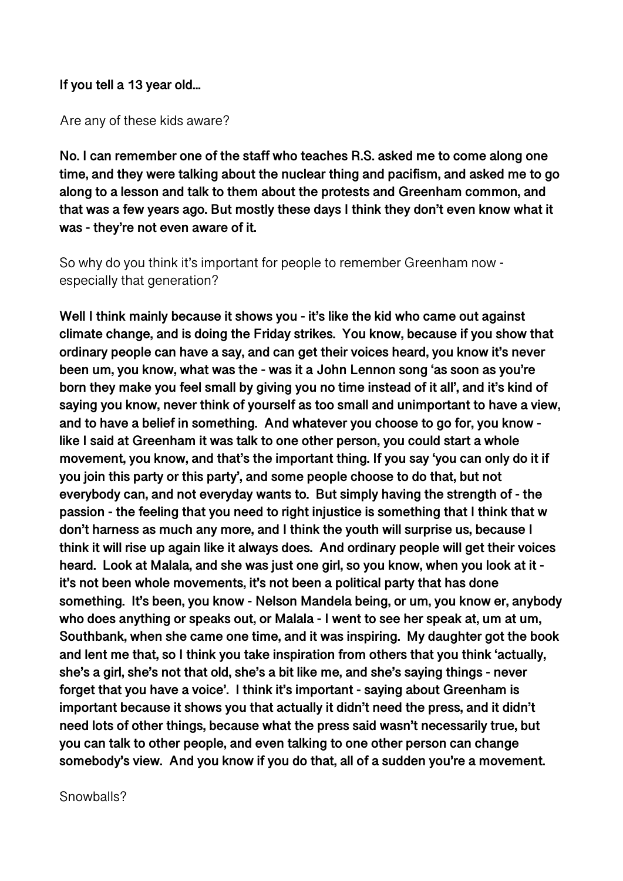#### **If you tell a 13 year old...**

Are any of these kids aware?

**No. I can remember one of the staff who teaches R.S. asked me to come along one time, and they were talking about the nuclear thing and pacifism, and asked me to go along to a lesson and talk to them about the protests and Greenham common, and that was a few years ago. But mostly these days I think they don't even know what it was - they're not even aware of it.** 

So why do you think it's important for people to remember Greenham now especially that generation?

**Well I think mainly because it shows you - it's like the kid who came out against climate change, and is doing the Friday strikes. You know, because if you show that ordinary people can have a say, and can get their voices heard, you know it's never been um, you know, what was the - was it a John Lennon song 'as soon as you're born they make you feel small by giving you no time instead of it all', and it's kind of saying you know, never think of yourself as too small and unimportant to have a view, and to have a belief in something. And whatever you choose to go for, you know like I said at Greenham it was talk to one other person, you could start a whole movement, you know, and that's the important thing. If you say 'you can only do it if you join this party or this party', and some people choose to do that, but not everybody can, and not everyday wants to. But simply having the strength of - the passion - the feeling that you need to right injustice is something that I think that w don't harness as much any more, and I think the youth will surprise us, because I think it will rise up again like it always does. And ordinary people will get their voices heard. Look at Malala, and she was just one girl, so you know, when you look at it it's not been whole movements, it's not been a political party that has done something. It's been, you know - Nelson Mandela being, or um, you know er, anybody who does anything or speaks out, or Malala - I went to see her speak at, um at um, Southbank, when she came one time, and it was inspiring. My daughter got the book and lent me that, so I think you take inspiration from others that you think 'actually, she's a girl, she's not that old, she's a bit like me, and she's saying things - never forget that you have a voice'. I think it's important - saying about Greenham is important because it shows you that actually it didn't need the press, and it didn't need lots of other things, because what the press said wasn't necessarily true, but you can talk to other people, and even talking to one other person can change somebody's view. And you know if you do that, all of a sudden you're a movement.** 

Snowballs?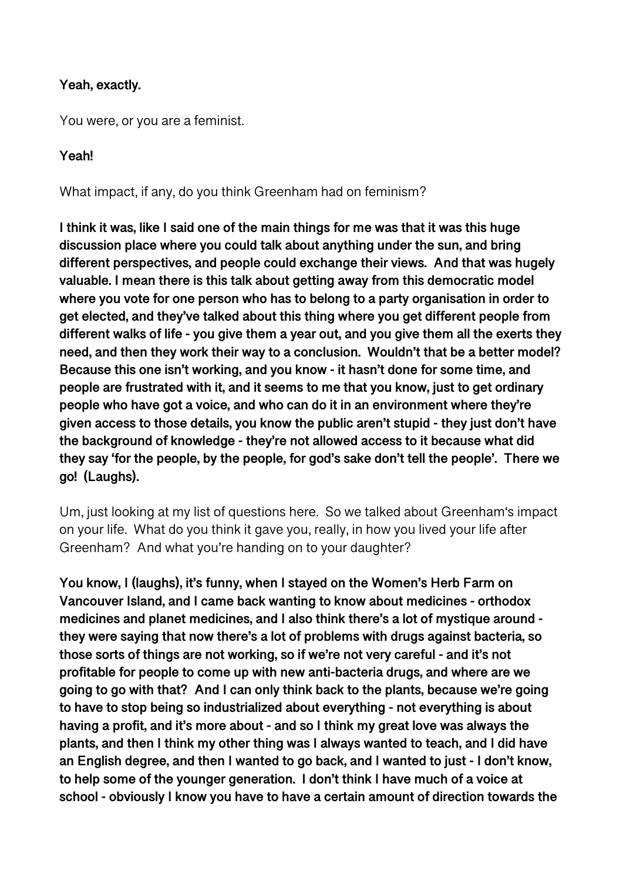#### **Yeah, exactly.**

You were, or you are a feminist.

## **Yeah!**

What impact, if any, do you think Greenham had on feminism?

**I think it was, like I said one of the main things for me was that it was this huge discussion place where you could talk about anything under the sun, and bring different perspectives, and people could exchange their views. And that was hugely valuable. I mean there is this talk about getting away from this democratic model where you vote for one person who has to belong to a party organisation in order to get elected, and they've talked about this thing where you get different people from different walks of life - you give them a year out, and you give them all the exerts they need, and then they work their way to a conclusion. Wouldn't that be a better model? Because this one isn't working, and you know - it hasn't done for some time, and people are frustrated with it, and it seems to me that you know, just to get ordinary people who have got a voice, and who can do it in an environment where they're given access to those details, you know the public aren't stupid - they just don't have the background of knowledge - they're not allowed access to it because what did they say 'for the people, by the people, for god's sake don't tell the people'. There we go! (Laughs).** 

Um, just looking at my list of questions here. So we talked about Greenham's impact on your life. What do you think it gave you, really, in how you lived your life after Greenham? And what you're handing on to your daughter?

**You know, I (laughs), it's funny, when I stayed on the Women's Herb Farm on Vancouver Island, and I came back wanting to know about medicines - orthodox medicines and planet medicines, and I also think there's a lot of mystique around they were saying that now there's a lot of problems with drugs against bacteria, so those sorts of things are not working, so if we're not very careful - and it's not profitable for people to come up with new anti-bacteria drugs, and where are we going to go with that? And I can only think back to the plants, because we're going to have to stop being so industrialized about everything - not everything is about having a profit, and it's more about - and so I think my great love was always the plants, and then I think my other thing was I always wanted to teach, and I did have an English degree, and then I wanted to go back, and I wanted to just - I don't know, to help some of the younger generation. I don't think I have much of a voice at school - obviously I know you have to have a certain amount of direction towards the**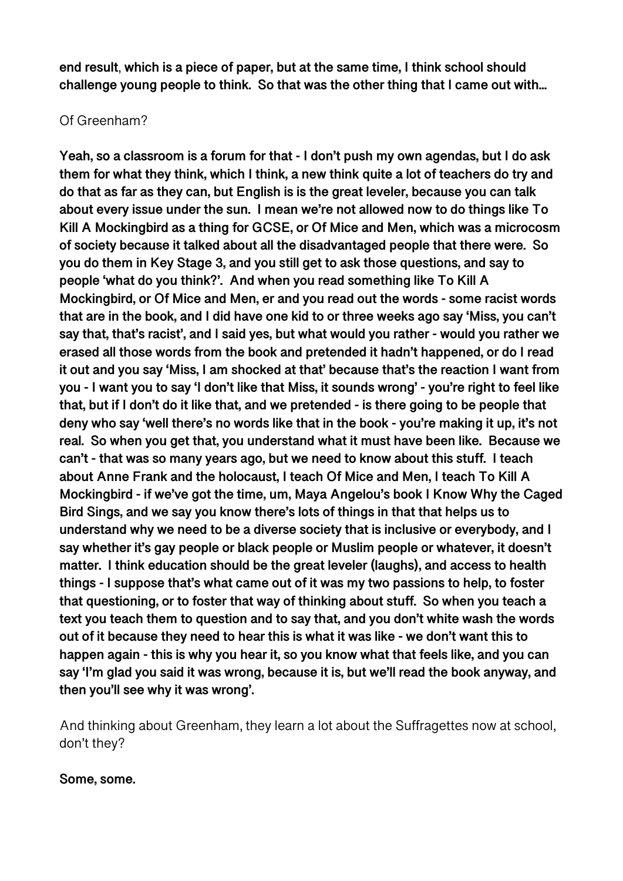**end result**, **which is a piece of paper, but at the same time, I think school should challenge young people to think. So that was the other thing that I came out with...** 

## Of Greenham?

**Yeah, so a classroom is a forum for that - I don't push my own agendas, but I do ask them for what they think, which I think, a new think quite a lot of teachers do try and do that as far as they can, but English is is the great leveler, because you can talk about every issue under the sun. I mean we're not allowed now to do things like To Kill A Mockingbird as a thing for GCSE, or Of Mice and Men, which was a microcosm of society because it talked about all the disadvantaged people that there were. So you do them in Key Stage 3, and you still get to ask those questions, and say to people 'what do you think?'. And when you read something like To Kill A Mockingbird, or Of Mice and Men, er and you read out the words - some racist words that are in the book, and I did have one kid to or three weeks ago say 'Miss, you can't say that, that's racist', and I said yes, but what would you rather - would you rather we erased all those words from the book and pretended it hadn't happened, or do I read it out and you say 'Miss, I am shocked at that' because that's the reaction I want from you - I want you to say 'I don't like that Miss, it sounds wrong' - you're right to feel like that, but if I don't do it like that, and we pretended - is there going to be people that deny who say 'well there's no words like that in the book - you're making it up, it's not real. So when you get that, you understand what it must have been like. Because we can't - that was so many years ago, but we need to know about this stuff. I teach about Anne Frank and the holocaust, I teach Of Mice and Men, I teach To Kill A Mockingbird - if we've got the time, um, Maya Angelou's book I Know Why the Caged Bird Sings, and we say you know there's lots of things in that that helps us to understand why we need to be a diverse society that is inclusive or everybody, and I say whether it's gay people or black people or Muslim people or whatever, it doesn't matter. I think education should be the great leveler (laughs), and access to health things - I suppose that's what came out of it was my two passions to help, to foster that questioning, or to foster that way of thinking about stuff. So when you teach a text you teach them to question and to say that, and you don't white wash the words out of it because they need to hear this is what it was like - we don't want this to happen again - this is why you hear it, so you know what that feels like, and you can say 'I'm glad you said it was wrong, because it is, but we'll read the book anyway, and then you'll see why it was wrong'.** 

And thinking about Greenham, they learn a lot about the Suffragettes now at school, don't they?

#### **Some, some.**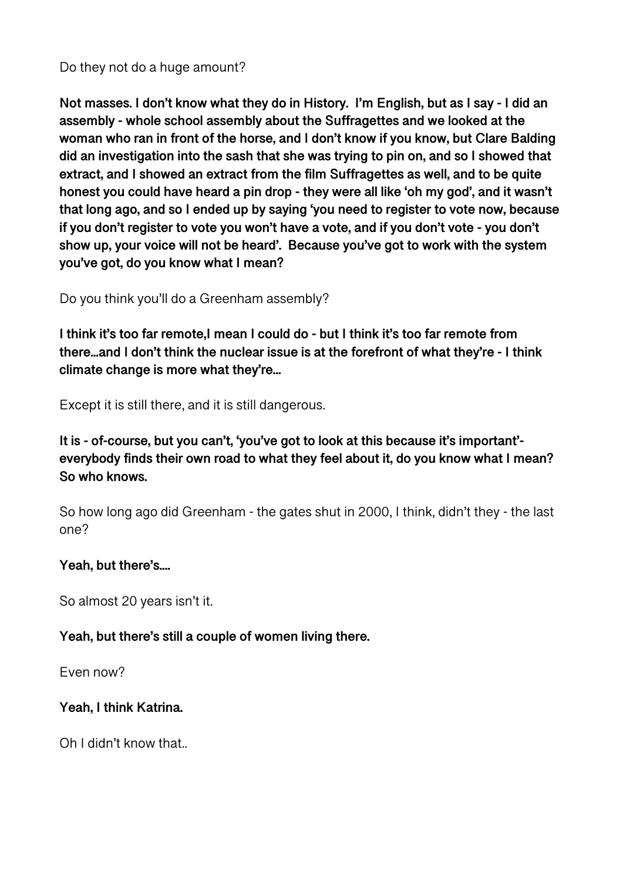#### Do they not do a huge amount?

**Not masses. I don't know what they do in History. I'm English, but as I say - I did an assembly - whole school assembly about the Suffragettes and we looked at the woman who ran in front of the horse, and I don't know if you know, but Clare Balding did an investigation into the sash that she was trying to pin on, and so I showed that extract, and I showed an extract from the film Suffragettes as well, and to be quite honest you could have heard a pin drop - they were all like 'oh my god', and it wasn't that long ago, and so I ended up by saying 'you need to register to vote now, because if you don't register to vote you won't have a vote, and if you don't vote - you don't show up, your voice will not be heard'. Because you've got to work with the system you've got, do you know what I mean?** 

Do you think you'll do a Greenham assembly?

**I think it's too far remote,I mean I could do - but I think it's too far remote from there...and I don't think the nuclear issue is at the forefront of what they're - I think climate change is more what they're...** 

Except it is still there, and it is still dangerous.

**It is - of-course, but you can't, 'you've got to look at this because it's important' everybody finds their own road to what they feel about it, do you know what I mean? So who knows.** 

So how long ago did Greenham - the gates shut in 2000, I think, didn't they - the last one?

## **Yeah, but there's....**

So almost 20 years isn't it.

## **Yeah, but there's still a couple of women living there.**

Even now?

## **Yeah, I think Katrina.**

Oh I didn't know that..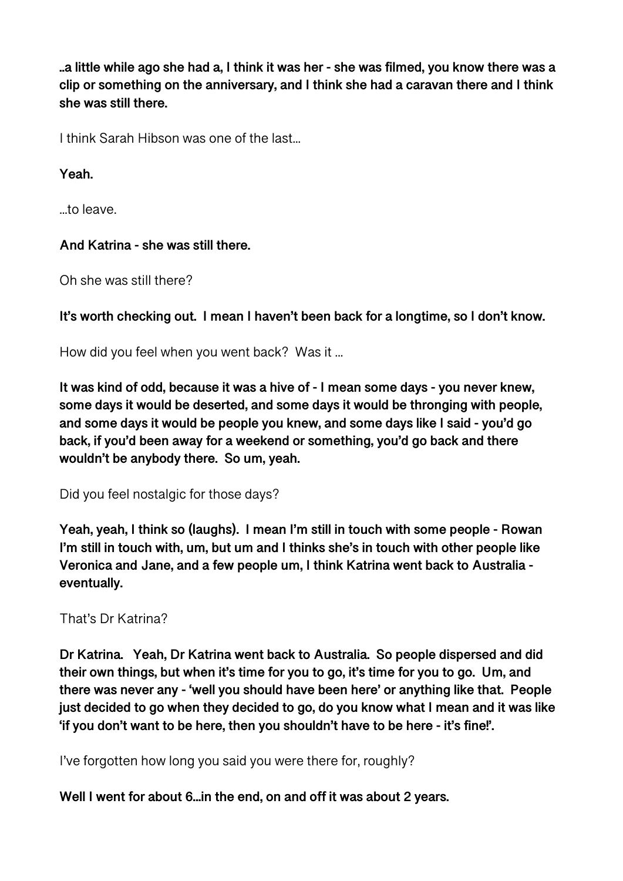**..a little while ago she had a, I think it was her - she was filmed, you know there was a clip or something on the anniversary, and I think she had a caravan there and I think she was still there.** 

I think Sarah Hibson was one of the last...

**Yeah.** 

...to leave.

## **And Katrina - she was still there.**

Oh she was still there?

**It's worth checking out. I mean I haven't been back for a longtime, so I don't know.** 

How did you feel when you went back? Was it ...

**It was kind of odd, because it was a hive of - I mean some days - you never knew, some days it would be deserted, and some days it would be thronging with people, and some days it would be people you knew, and some days like I said - you'd go back, if you'd been away for a weekend or something, you'd go back and there wouldn't be anybody there. So um, yeah.** 

Did you feel nostalgic for those days?

**Yeah, yeah, I think so (laughs). I mean I'm still in touch with some people - Rowan I'm still in touch with, um, but um and I thinks she's in touch with other people like Veronica and Jane, and a few people um, I think Katrina went back to Australia eventually.** 

## That's Dr Katrina?

**Dr Katrina. Yeah, Dr Katrina went back to Australia. So people dispersed and did their own things, but when it's time for you to go, it's time for you to go. Um, and there was never any - 'well you should have been here' or anything like that. People just decided to go when they decided to go, do you know what I mean and it was like 'if you don't want to be here, then you shouldn't have to be here - it's fine!'.** 

I've forgotten how long you said you were there for, roughly?

**Well I went for about 6...in the end, on and off it was about 2 years.**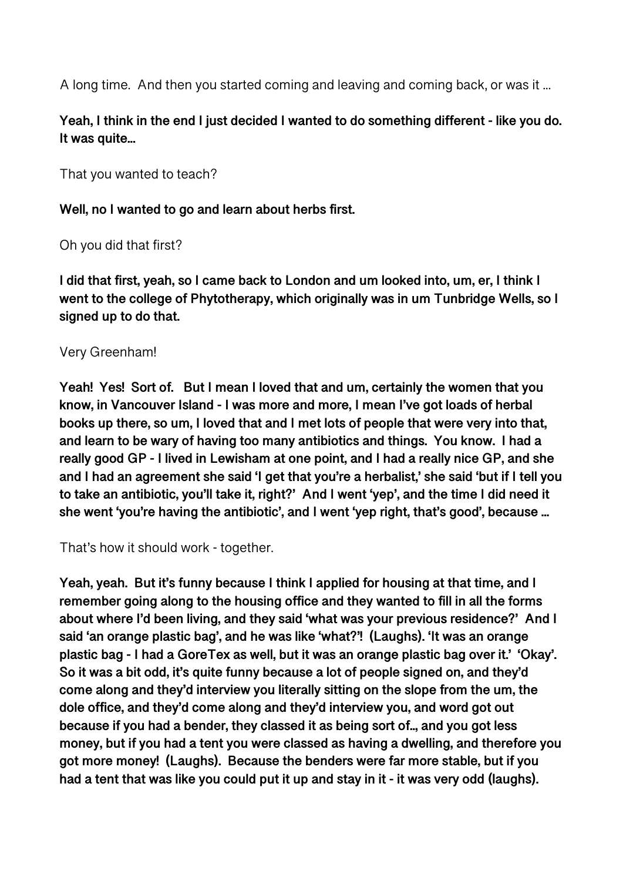A long time. And then you started coming and leaving and coming back, or was it ...

# **Yeah, I think in the end I just decided I wanted to do something different - like you do. It was quite...**

That you wanted to teach?

#### **Well, no I wanted to go and learn about herbs first.**

Oh you did that first?

**I did that first, yeah, so I came back to London and um looked into, um, er, I think I went to the college of Phytotherapy, which originally was in um Tunbridge Wells, so I signed up to do that.** 

#### Very Greenham!

**Yeah! Yes! Sort of. But I mean I loved that and um, certainly the women that you know, in Vancouver Island - I was more and more, I mean I've got loads of herbal books up there, so um, I loved that and I met lots of people that were very into that, and learn to be wary of having too many antibiotics and things. You know. I had a really good GP - I lived in Lewisham at one point, and I had a really nice GP, and she and I had an agreement she said 'I get that you're a herbalist,' she said 'but if I tell you to take an antibiotic, you'll take it, right?' And I went 'yep', and the time I did need it she went 'you're having the antibiotic', and I went 'yep right, that's good', because ...** 

That's how it should work - together.

**Yeah, yeah. But it's funny because I think I applied for housing at that time, and I remember going along to the housing office and they wanted to fill in all the forms about where I'd been living, and they said 'what was your previous residence?' And I said 'an orange plastic bag', and he was like 'what?'! (Laughs). 'It was an orange plastic bag - I had a GoreTex as well, but it was an orange plastic bag over it.' 'Okay'. So it was a bit odd, it's quite funny because a lot of people signed on, and they'd come along and they'd interview you literally sitting on the slope from the um, the dole office, and they'd come along and they'd interview you, and word got out because if you had a bender, they classed it as being sort of.., and you got less money, but if you had a tent you were classed as having a dwelling, and therefore you got more money! (Laughs). Because the benders were far more stable, but if you had a tent that was like you could put it up and stay in it - it was very odd (laughs).**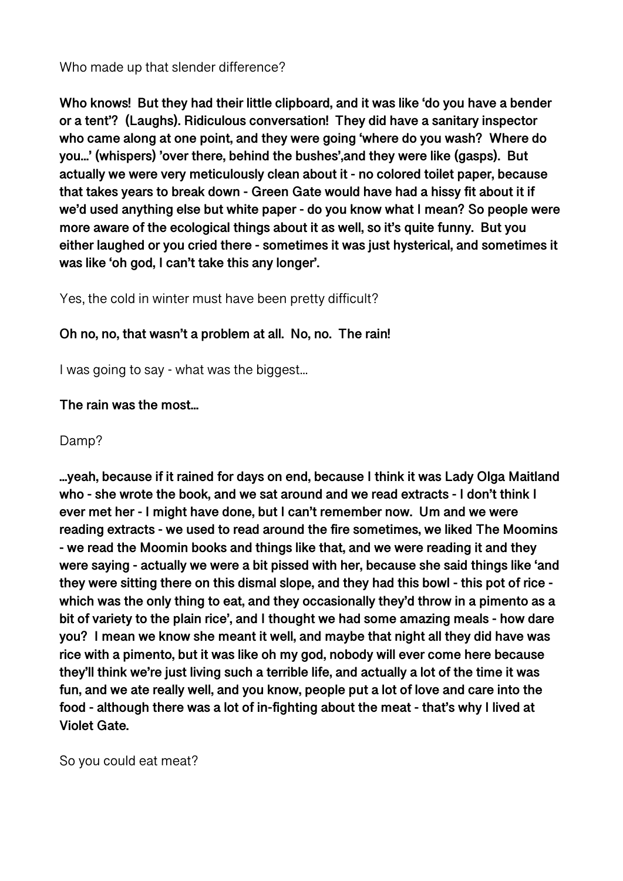Who made up that slender difference?

**Who knows! But they had their little clipboard, and it was like 'do you have a bender or a tent'? (Laughs). Ridiculous conversation! They did have a sanitary inspector who came along at one point, and they were going 'where do you wash? Where do you...' (whispers) 'over there, behind the bushes',and they were like (gasps). But actually we were very meticulously clean about it - no colored toilet paper, because that takes years to break down - Green Gate would have had a hissy fit about it if we'd used anything else but white paper - do you know what I mean? So people were more aware of the ecological things about it as well, so it's quite funny. But you either laughed or you cried there - sometimes it was just hysterical, and sometimes it was like 'oh god, I can't take this any longer'.** 

Yes, the cold in winter must have been pretty difficult?

# **Oh no, no, that wasn't a problem at all. No, no. The rain!**

I was going to say - what was the biggest...

# **The rain was the most...**

## Damp?

**...yeah, because if it rained for days on end, because I think it was Lady Olga Maitland who - she wrote the book, and we sat around and we read extracts - I don't think I ever met her - I might have done, but I can't remember now. Um and we were reading extracts - we used to read around the fire sometimes, we liked The Moomins - we read the Moomin books and things like that, and we were reading it and they were saying - actually we were a bit pissed with her, because she said things like 'and they were sitting there on this dismal slope, and they had this bowl - this pot of rice which was the only thing to eat, and they occasionally they'd throw in a pimento as a bit of variety to the plain rice', and I thought we had some amazing meals - how dare you? I mean we know she meant it well, and maybe that night all they did have was rice with a pimento, but it was like oh my god, nobody will ever come here because they'll think we're just living such a terrible life, and actually a lot of the time it was fun, and we ate really well, and you know, people put a lot of love and care into the food - although there was a lot of in-fighting about the meat - that's why I lived at Violet Gate.** 

So you could eat meat?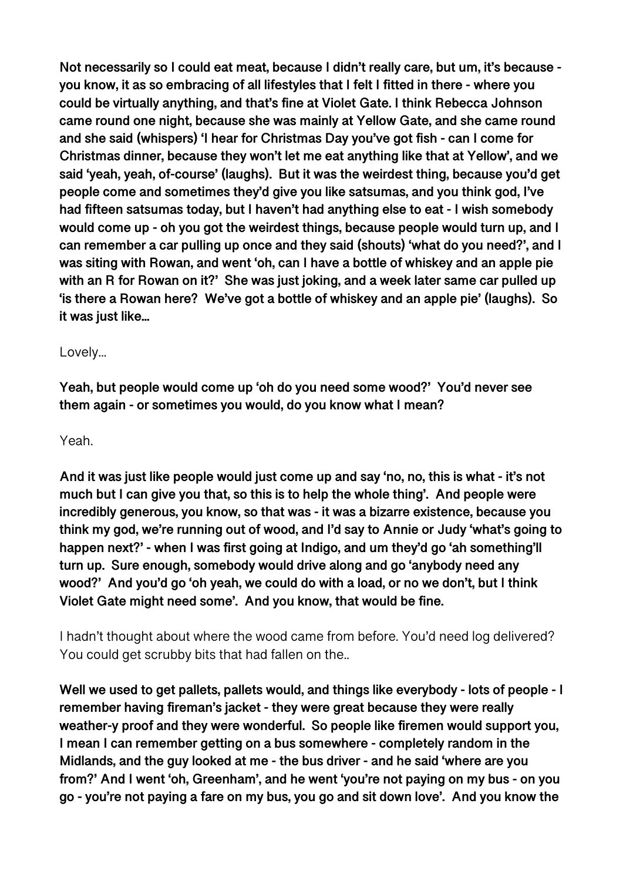**Not necessarily so I could eat meat, because I didn't really care, but um, it's because you know, it as so embracing of all lifestyles that I felt I fitted in there - where you could be virtually anything, and that's fine at Violet Gate. I think Rebecca Johnson came round one night, because she was mainly at Yellow Gate, and she came round and she said (whispers) 'I hear for Christmas Day you've got fish - can I come for Christmas dinner, because they won't let me eat anything like that at Yellow', and we said 'yeah, yeah, of-course' (laughs). But it was the weirdest thing, because you'd get people come and sometimes they'd give you like satsumas, and you think god, I've had fifteen satsumas today, but I haven't had anything else to eat - I wish somebody would come up - oh you got the weirdest things, because people would turn up, and I can remember a car pulling up once and they said (shouts) 'what do you need?', and I was siting with Rowan, and went 'oh, can I have a bottle of whiskey and an apple pie with an R for Rowan on it?' She was just joking, and a week later same car pulled up 'is there a Rowan here? We've got a bottle of whiskey and an apple pie' (laughs). So it was just like...** 

#### Lovely...

**Yeah, but people would come up 'oh do you need some wood?' You'd never see them again - or sometimes you would, do you know what I mean?** 

#### Yeah.

**And it was just like people would just come up and say 'no, no, this is what - it's not much but I can give you that, so this is to help the whole thing'. And people were incredibly generous, you know, so that was - it was a bizarre existence, because you think my god, we're running out of wood, and I'd say to Annie or Judy 'what's going to happen next?' - when I was first going at Indigo, and um they'd go 'ah something'll turn up. Sure enough, somebody would drive along and go 'anybody need any wood?' And you'd go 'oh yeah, we could do with a load, or no we don't, but I think Violet Gate might need some'. And you know, that would be fine.** 

I hadn't thought about where the wood came from before. You'd need log delivered? You could get scrubby bits that had fallen on the..

**Well we used to get pallets, pallets would, and things like everybody - lots of people - I remember having fireman's jacket - they were great because they were really weather-y proof and they were wonderful. So people like firemen would support you, I mean I can remember getting on a bus somewhere - completely random in the Midlands, and the guy looked at me - the bus driver - and he said 'where are you from?' And I went 'oh, Greenham', and he went 'you're not paying on my bus - on you go - you're not paying a fare on my bus, you go and sit down love'. And you know the**